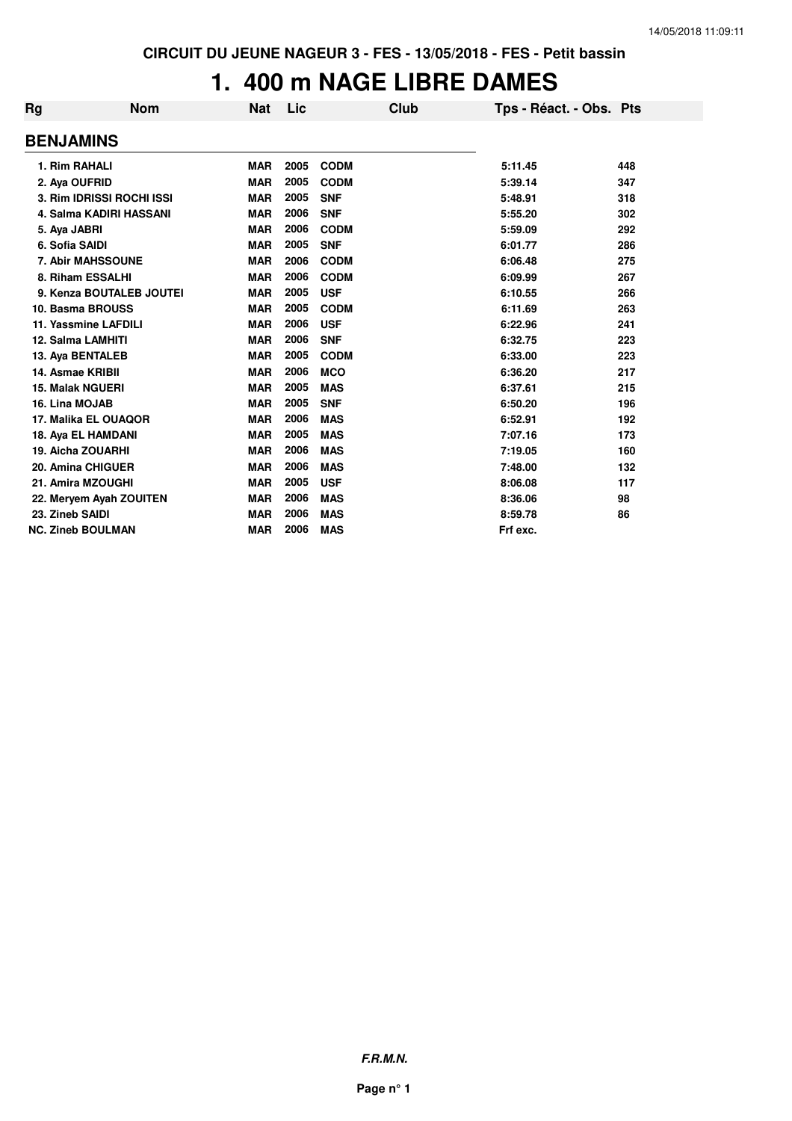# **1. 400 m NAGE LIBRE DAMES**

| Rg                      | <b>Nom</b>                | <b>Nat</b> | Lic  | Club        | Tps - Réact. - Obs. Pts |     |
|-------------------------|---------------------------|------------|------|-------------|-------------------------|-----|
| <b>BENJAMINS</b>        |                           |            |      |             |                         |     |
| 1. Rim RAHALI           |                           | <b>MAR</b> | 2005 | <b>CODM</b> | 5:11.45                 | 448 |
| 2. Aya OUFRID           |                           | <b>MAR</b> | 2005 | <b>CODM</b> | 5:39.14                 | 347 |
|                         | 3. Rim IDRISSI ROCHI ISSI | <b>MAR</b> | 2005 | <b>SNF</b>  | 5:48.91                 | 318 |
|                         | 4. Salma KADIRI HASSANI   | <b>MAR</b> | 2006 | <b>SNF</b>  | 5:55.20                 | 302 |
| 5. Aya JABRI            |                           | <b>MAR</b> | 2006 | <b>CODM</b> | 5:59.09                 | 292 |
| 6. Sofia SAIDI          |                           | <b>MAR</b> | 2005 | <b>SNF</b>  | 6:01.77                 | 286 |
|                         | 7. Abir MAHSSOUNE         | <b>MAR</b> | 2006 | <b>CODM</b> | 6:06.48                 | 275 |
|                         | 8. Riham ESSALHI          | <b>MAR</b> | 2006 | <b>CODM</b> | 6:09.99                 | 267 |
|                         | 9. Kenza BOUTALEB JOUTEI  | <b>MAR</b> | 2005 | <b>USF</b>  | 6:10.55                 | 266 |
|                         | 10. Basma BROUSS          | <b>MAR</b> | 2005 | <b>CODM</b> | 6:11.69                 | 263 |
|                         | 11. Yassmine LAFDILI      | <b>MAR</b> | 2006 | <b>USF</b>  | 6:22.96                 | 241 |
|                         | 12. Salma LAMHITI         | <b>MAR</b> | 2006 | <b>SNF</b>  | 6:32.75                 | 223 |
|                         | 13. Aya BENTALEB          | <b>MAR</b> | 2005 | <b>CODM</b> | 6:33.00                 | 223 |
| 14. Asmae KRIBII        |                           | <b>MAR</b> | 2006 | <b>MCO</b>  | 6:36.20                 | 217 |
| <b>15. Malak NGUERI</b> |                           | <b>MAR</b> | 2005 | <b>MAS</b>  | 6:37.61                 | 215 |
| 16. Lina MOJAB          |                           | <b>MAR</b> | 2005 | <b>SNF</b>  | 6:50.20                 | 196 |
|                         | 17. Malika EL OUAQOR      | <b>MAR</b> | 2006 | <b>MAS</b>  | 6:52.91                 | 192 |
|                         | 18. Aya EL HAMDANI        | <b>MAR</b> | 2005 | <b>MAS</b>  | 7:07.16                 | 173 |
|                         | 19. Aicha ZOUARHI         | <b>MAR</b> | 2006 | <b>MAS</b>  | 7:19.05                 | 160 |
|                         | 20. Amina CHIGUER         | <b>MAR</b> | 2006 | <b>MAS</b>  | 7:48.00                 | 132 |
|                         | 21. Amira MZOUGHI         | <b>MAR</b> | 2005 | <b>USF</b>  | 8:06.08                 | 117 |
|                         | 22. Meryem Ayah ZOUITEN   | <b>MAR</b> | 2006 | <b>MAS</b>  | 8:36.06                 | 98  |
| 23. Zineb SAIDI         |                           | <b>MAR</b> | 2006 | <b>MAS</b>  | 8:59.78                 | 86  |
|                         | <b>NC. Zineb BOULMAN</b>  | <b>MAR</b> | 2006 | <b>MAS</b>  | Frf exc.                |     |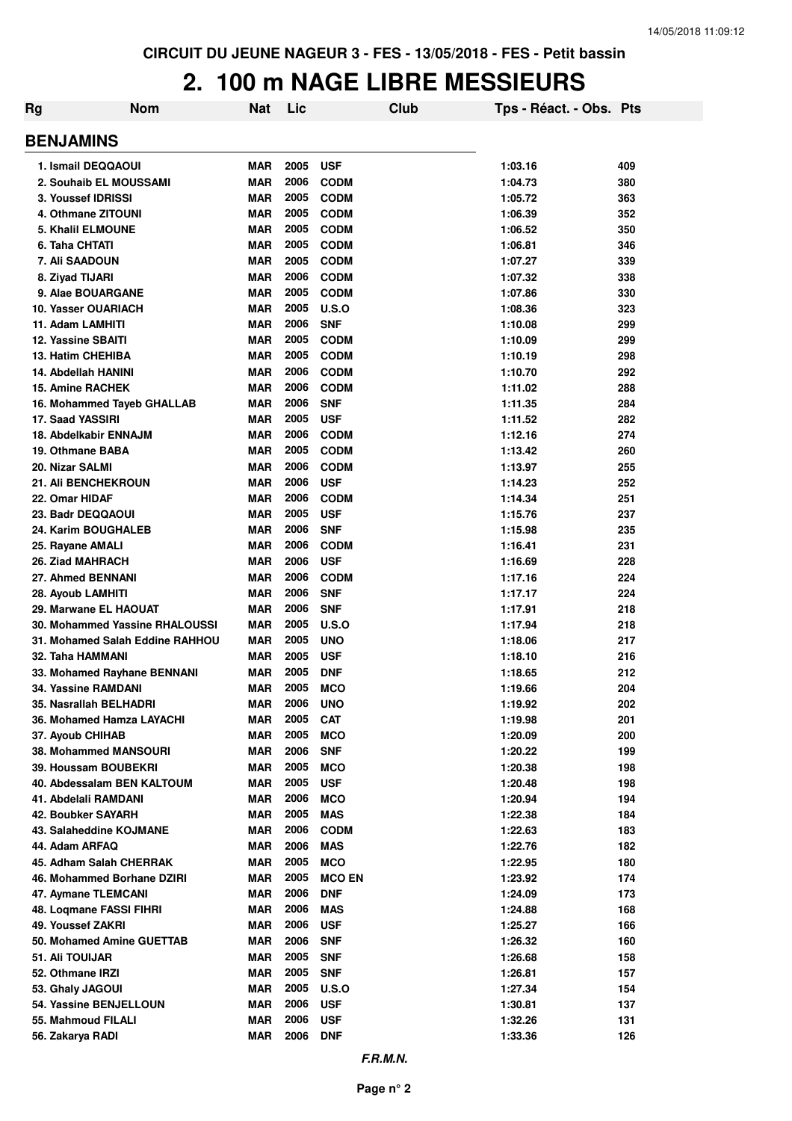# **2. 100 m NAGE LIBRE MESSIEURS**

| <b>Rg</b>                                         | <b>Nom</b>                      | Nat                      | Lic          | Club                        | Tps - Réact. - Obs. Pts |            |
|---------------------------------------------------|---------------------------------|--------------------------|--------------|-----------------------------|-------------------------|------------|
| <b>BENJAMINS</b>                                  |                                 |                          |              |                             |                         |            |
| 1. Ismail DEQQAOUI                                |                                 | <b>MAR</b>               | 2005         | <b>USF</b>                  | 1:03.16                 | 409        |
| 2. Souhaib EL MOUSSAMI                            |                                 | <b>MAR</b>               | 2006         | <b>CODM</b>                 | 1:04.73                 | 380        |
| 3. Youssef IDRISSI                                |                                 | <b>MAR</b>               | 2005         | <b>CODM</b>                 | 1:05.72                 | 363        |
| 4. Othmane ZITOUNI                                |                                 | <b>MAR</b>               | 2005         | <b>CODM</b>                 | 1:06.39                 | 352        |
| 5. Khalil ELMOUNE                                 |                                 | <b>MAR</b>               | 2005         | <b>CODM</b>                 | 1:06.52                 | 350        |
| 6. Taha CHTATI                                    |                                 | <b>MAR</b>               | 2005         | <b>CODM</b>                 | 1:06.81                 | 346        |
| 7. Ali SAADOUN                                    |                                 | <b>MAR</b>               | 2005         | <b>CODM</b>                 | 1:07.27                 | 339        |
| 8. Ziyad TIJARI                                   |                                 | <b>MAR</b>               | 2006         | <b>CODM</b>                 | 1:07.32                 | 338        |
| 9. Alae BOUARGANE                                 |                                 | <b>MAR</b>               | 2005         | <b>CODM</b>                 | 1:07.86                 | 330        |
| 10. Yasser OUARIACH                               |                                 | <b>MAR</b>               | 2005         | U.S.O                       | 1:08.36                 | 323        |
| 11. Adam LAMHITI                                  |                                 | <b>MAR</b>               | 2006<br>2005 | <b>SNF</b><br><b>CODM</b>   | 1:10.08                 | 299        |
| <b>12. Yassine SBAITI</b><br>13. Hatim CHEHIBA    |                                 | <b>MAR</b><br><b>MAR</b> | 2005         | <b>CODM</b>                 | 1:10.09<br>1:10.19      | 299<br>298 |
| 14. Abdellah HANINI                               |                                 | <b>MAR</b>               | 2006         | <b>CODM</b>                 | 1:10.70                 | 292        |
| <b>15. Amine RACHEK</b>                           |                                 | <b>MAR</b>               | 2006         | <b>CODM</b>                 | 1:11.02                 | 288        |
|                                                   | 16. Mohammed Tayeb GHALLAB      | <b>MAR</b>               | 2006         | <b>SNF</b>                  | 1:11.35                 | 284        |
| 17. Saad YASSIRI                                  |                                 | <b>MAR</b>               | 2005         | <b>USF</b>                  | 1:11.52                 | 282        |
| 18. Abdelkabir ENNAJM                             |                                 | <b>MAR</b>               | 2006         | <b>CODM</b>                 | 1:12.16                 | 274        |
| 19. Othmane BABA                                  |                                 | <b>MAR</b>               | 2005         | <b>CODM</b>                 | 1:13.42                 | 260        |
| 20. Nizar SALMI                                   |                                 | <b>MAR</b>               | 2006         | <b>CODM</b>                 | 1:13.97                 | 255        |
| <b>21. AII BENCHEKROUN</b>                        |                                 | <b>MAR</b>               | 2006         | <b>USF</b>                  | 1:14.23                 | 252        |
| 22. Omar HIDAF                                    |                                 | <b>MAR</b>               | 2006         | <b>CODM</b>                 | 1:14.34                 | 251        |
| 23. Badr DEQQAOUI                                 |                                 | <b>MAR</b>               | 2005         | <b>USF</b>                  | 1:15.76                 | 237        |
| 24. Karim BOUGHALEB                               |                                 | <b>MAR</b>               | 2006         | <b>SNF</b>                  | 1:15.98                 | 235        |
| 25. Rayane AMALI                                  |                                 | <b>MAR</b>               | 2006         | <b>CODM</b>                 | 1:16.41                 | 231        |
| 26. Ziad MAHRACH                                  |                                 | <b>MAR</b>               | 2006         | <b>USF</b>                  | 1:16.69                 | 228        |
| 27. Ahmed BENNANI                                 |                                 | <b>MAR</b>               | 2006         | <b>CODM</b>                 | 1:17.16                 | 224        |
| 28. Ayoub LAMHITI                                 |                                 | <b>MAR</b>               | 2006<br>2006 | <b>SNF</b>                  | 1:17.17                 | 224        |
| 29. Marwane EL HAOUAT                             | 30. Mohammed Yassine RHALOUSSI  | <b>MAR</b><br><b>MAR</b> | 2005         | <b>SNF</b><br><b>U.S.O</b>  | 1:17.91                 | 218<br>218 |
|                                                   | 31. Mohamed Salah Eddine RAHHOU | <b>MAR</b>               | 2005         | <b>UNO</b>                  | 1:17.94<br>1:18.06      | 217        |
| 32. Taha HAMMANI                                  |                                 | <b>MAR</b>               | 2005         | <b>USF</b>                  | 1:18.10                 | 216        |
|                                                   | 33. Mohamed Rayhane BENNANI     | <b>MAR</b>               | 2005         | <b>DNF</b>                  | 1:18.65                 | 212        |
| <b>34. Yassine RAMDANI</b>                        |                                 | <b>MAR</b>               | 2005         | <b>MCO</b>                  | 1:19.66                 | 204        |
| 35. Nasrallah BELHADRI                            |                                 | <b>MAR</b>               | 2006         | <b>UNO</b>                  | 1:19.92                 | 202        |
| 36. Mohamed Hamza LAYACHI                         |                                 | <b>MAR</b>               | 2005         | <b>CAT</b>                  | 1:19.98                 | 201        |
| 37. Ayoub CHIHAB                                  |                                 | <b>MAR</b>               | 2005         | <b>MCO</b>                  | 1:20.09                 | 200        |
| 38. Mohammed MANSOURI                             |                                 | MAR                      | 2006         | <b>SNF</b>                  | 1:20.22                 | 199        |
| 39. Houssam BOUBEKRI                              |                                 | <b>MAR</b>               | 2005         | <b>MCO</b>                  | 1:20.38                 | 198        |
|                                                   | 40. Abdessalam BEN KALTOUM      | <b>MAR</b>               | 2005         | <b>USF</b>                  | 1:20.48                 | 198        |
| 41. Abdelali RAMDANI                              |                                 | <b>MAR</b>               | 2006         | <b>MCO</b>                  | 1:20.94                 | 194        |
| 42. Boubker SAYARH                                |                                 | <b>MAR</b>               | 2005         | <b>MAS</b>                  | 1:22.38                 | 184        |
| 43. Salaheddine KOJMANE                           |                                 | <b>MAR</b>               | 2006         | <b>CODM</b>                 | 1:22.63                 | 183        |
| 44. Adam ARFAQ                                    |                                 | <b>MAR</b>               | 2006         | <b>MAS</b>                  | 1:22.76                 | 182        |
| 45. Adham Salah CHERRAK                           |                                 | <b>MAR</b>               | 2005<br>2005 | <b>MCO</b>                  | 1:22.95                 | 180        |
| 46. Mohammed Borhane DZIRI<br>47. Aymane TLEMCANI |                                 | <b>MAR</b><br><b>MAR</b> | 2006         | <b>MCO EN</b><br><b>DNF</b> | 1:23.92<br>1:24.09      | 174<br>173 |
| 48. Logmane FASSI FIHRI                           |                                 | MAR                      | 2006         | <b>MAS</b>                  | 1:24.88                 | 168        |
| 49. Youssef ZAKRI                                 |                                 | <b>MAR</b>               | 2006         | <b>USF</b>                  | 1:25.27                 | 166        |
| 50. Mohamed Amine GUETTAB                         |                                 | <b>MAR</b>               | 2006         | <b>SNF</b>                  | 1:26.32                 | 160        |
| 51. Ali TOUIJAR                                   |                                 | MAR                      | 2005         | <b>SNF</b>                  | 1:26.68                 | 158        |
| 52. Othmane IRZI                                  |                                 | <b>MAR</b>               | 2005         | <b>SNF</b>                  | 1:26.81                 | 157        |
| 53. Ghaly JAGOUI                                  |                                 | <b>MAR</b>               | 2005         | <b>U.S.O</b>                | 1:27.34                 | 154        |
| <b>54. Yassine BENJELLOUN</b>                     |                                 | <b>MAR</b>               | 2006         | <b>USF</b>                  | 1:30.81                 | 137        |
| 55. Mahmoud FILALI                                |                                 | <b>MAR</b>               | 2006         | <b>USF</b>                  | 1:32.26                 | 131        |
| 56. Zakarya RADI                                  |                                 | <b>MAR</b>               | 2006         | <b>DNF</b>                  | 1:33.36                 | 126        |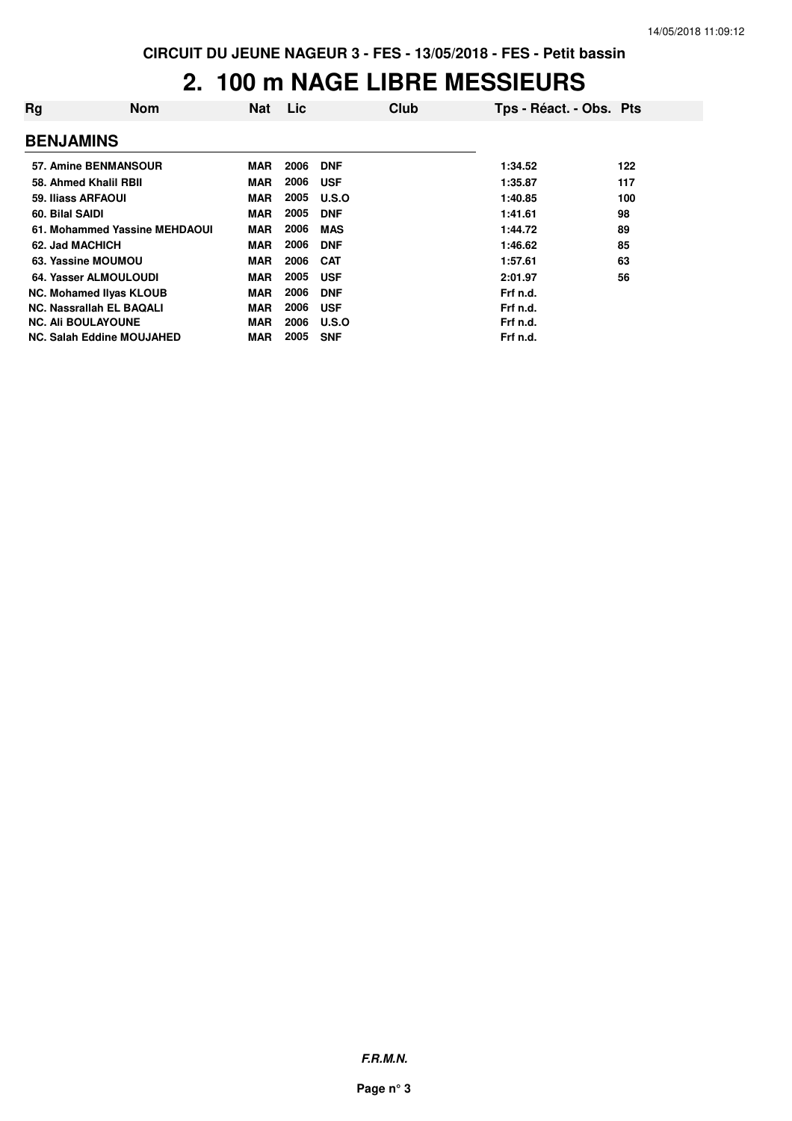# **2. 100 m NAGE LIBRE MESSIEURS**

| Rg                        | <b>Nom</b>                       | <b>Nat</b> | Lic  | Club       | Tps - Réact. - Obs. Pts |     |
|---------------------------|----------------------------------|------------|------|------------|-------------------------|-----|
| <b>BENJAMINS</b>          |                                  |            |      |            |                         |     |
|                           | 57. Amine BENMANSOUR             | <b>MAR</b> | 2006 | <b>DNF</b> | 1:34.52                 | 122 |
|                           | 58. Ahmed Khalil RBII            | <b>MAR</b> | 2006 | <b>USF</b> | 1:35.87                 | 117 |
| 59. Iliass ARFAOUI        |                                  | <b>MAR</b> | 2005 | U.S.O      | 1:40.85                 | 100 |
| 60. Bilal SAIDI           |                                  | <b>MAR</b> | 2005 | <b>DNF</b> | 1:41.61                 | 98  |
|                           | 61. Mohammed Yassine MEHDAOUI    | <b>MAR</b> | 2006 | <b>MAS</b> | 1:44.72                 | 89  |
| 62. Jad MACHICH           |                                  | <b>MAR</b> | 2006 | <b>DNF</b> | 1:46.62                 | 85  |
|                           | 63. Yassine MOUMOU               | <b>MAR</b> | 2006 | <b>CAT</b> | 1:57.61                 | 63  |
|                           | 64. Yasser ALMOULOUDI            | <b>MAR</b> | 2005 | <b>USF</b> | 2:01.97                 | 56  |
|                           | <b>NC. Mohamed Ilyas KLOUB</b>   | <b>MAR</b> | 2006 | <b>DNF</b> | Frf n.d.                |     |
|                           | NC. Nassrallah EL BAQALI         | <b>MAR</b> | 2006 | <b>USF</b> | Frf n.d.                |     |
| <b>NC. Ali BOULAYOUNE</b> |                                  | <b>MAR</b> | 2006 | U.S.O      | Frf n.d.                |     |
|                           | <b>NC. Salah Eddine MOUJAHED</b> | <b>MAR</b> | 2005 | <b>SNF</b> | Frf n.d.                |     |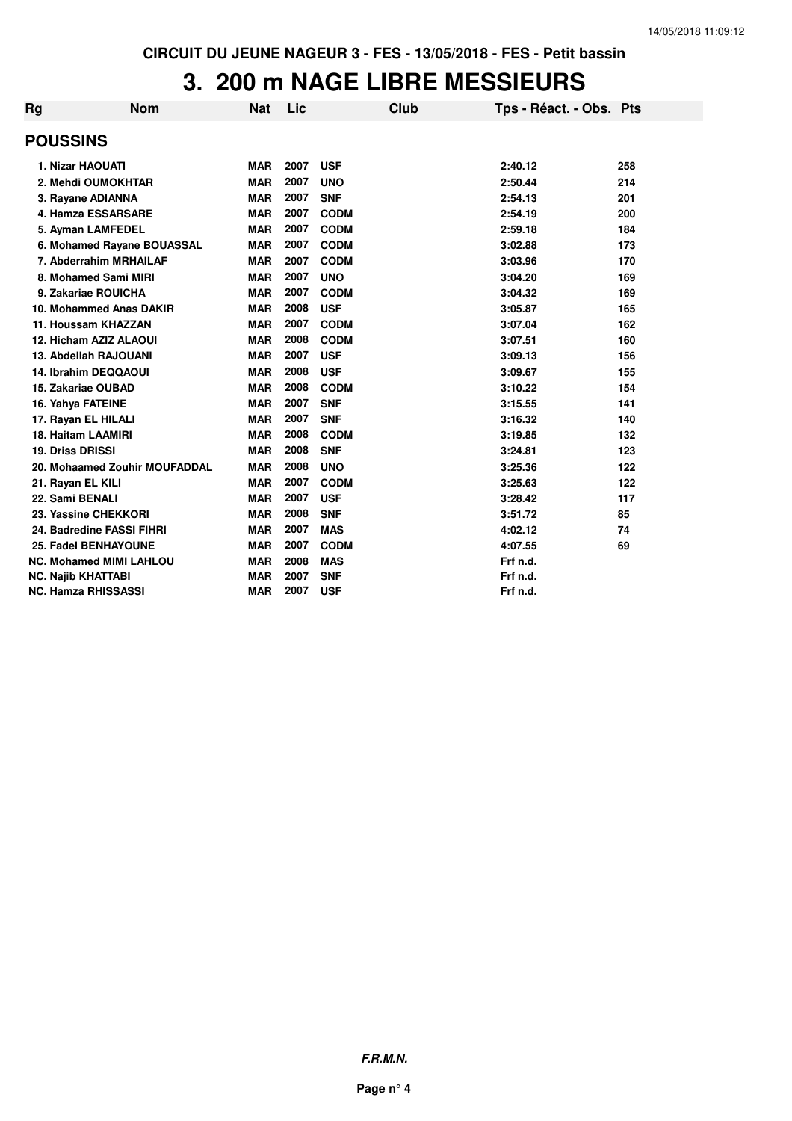### **3. 200 m NAGE LIBRE MESSIEURS**

| Rg | <b>Nom</b>                     | <b>Nat</b> | Lic  | <b>Club</b> | Tps - Réact. - Obs. Pts |     |
|----|--------------------------------|------------|------|-------------|-------------------------|-----|
|    | <b>POUSSINS</b>                |            |      |             |                         |     |
|    | 1. Nizar HAOUATI               | <b>MAR</b> | 2007 | <b>USF</b>  | 2:40.12                 | 258 |
|    | 2. Mehdi OUMOKHTAR             | <b>MAR</b> | 2007 | <b>UNO</b>  | 2:50.44                 | 214 |
|    | 3. Rayane ADIANNA              | <b>MAR</b> | 2007 | <b>SNF</b>  | 2:54.13                 | 201 |
|    | 4. Hamza ESSARSARE             | <b>MAR</b> | 2007 | <b>CODM</b> | 2:54.19                 | 200 |
|    | 5. Ayman LAMFEDEL              | <b>MAR</b> | 2007 | <b>CODM</b> | 2:59.18                 | 184 |
|    | 6. Mohamed Rayane BOUASSAL     | <b>MAR</b> | 2007 | <b>CODM</b> | 3:02.88                 | 173 |
|    | 7. Abderrahim MRHAILAF         | <b>MAR</b> | 2007 | <b>CODM</b> | 3:03.96                 | 170 |
|    | 8. Mohamed Sami MIRI           | <b>MAR</b> | 2007 | <b>UNO</b>  | 3:04.20                 | 169 |
|    | 9. Zakariae ROUICHA            | <b>MAR</b> | 2007 | <b>CODM</b> | 3:04.32                 | 169 |
|    | 10. Mohammed Anas DAKIR        | <b>MAR</b> | 2008 | <b>USF</b>  | 3:05.87                 | 165 |
|    | 11. Houssam KHAZZAN            | <b>MAR</b> | 2007 | <b>CODM</b> | 3:07.04                 | 162 |
|    | 12. Hicham AZIZ ALAOUI         | <b>MAR</b> | 2008 | <b>CODM</b> | 3:07.51                 | 160 |
|    | 13. Abdellah RAJOUANI          | <b>MAR</b> | 2007 | <b>USF</b>  | 3:09.13                 | 156 |
|    | 14. Ibrahim DEQQAOUI           | <b>MAR</b> | 2008 | <b>USF</b>  | 3:09.67                 | 155 |
|    | 15. Zakariae OUBAD             | <b>MAR</b> | 2008 | <b>CODM</b> | 3:10.22                 | 154 |
|    | 16. Yahya FATEINE              | <b>MAR</b> | 2007 | <b>SNF</b>  | 3:15.55                 | 141 |
|    | 17. Rayan EL HILALI            | <b>MAR</b> | 2007 | <b>SNF</b>  | 3:16.32                 | 140 |
|    | <b>18. Haitam LAAMIRI</b>      | <b>MAR</b> | 2008 | <b>CODM</b> | 3:19.85                 | 132 |
|    | <b>19. Driss DRISSI</b>        | <b>MAR</b> | 2008 | <b>SNF</b>  | 3:24.81                 | 123 |
|    | 20. Mohaamed Zouhir MOUFADDAL  | <b>MAR</b> | 2008 | <b>UNO</b>  | 3:25.36                 | 122 |
|    | 21. Rayan EL KILI              | <b>MAR</b> | 2007 | <b>CODM</b> | 3:25.63                 | 122 |
|    | 22. Sami BENALI                | <b>MAR</b> | 2007 | <b>USF</b>  | 3:28.42                 | 117 |
|    | 23. Yassine CHEKKORI           | <b>MAR</b> | 2008 | <b>SNF</b>  | 3:51.72                 | 85  |
|    | 24. Badredine FASSI FIHRI      | <b>MAR</b> | 2007 | <b>MAS</b>  | 4:02.12                 | 74  |
|    | 25. Fadel BENHAYOUNE           | <b>MAR</b> | 2007 | <b>CODM</b> | 4:07.55                 | 69  |
|    | <b>NC. Mohamed MIMI LAHLOU</b> | <b>MAR</b> | 2008 | <b>MAS</b>  | Frf n.d.                |     |
|    | <b>NC. Najib KHATTABI</b>      | <b>MAR</b> | 2007 | <b>SNF</b>  | Frf n.d.                |     |
|    | <b>NC. Hamza RHISSASSI</b>     | <b>MAR</b> | 2007 | <b>USF</b>  | Frf n.d.                |     |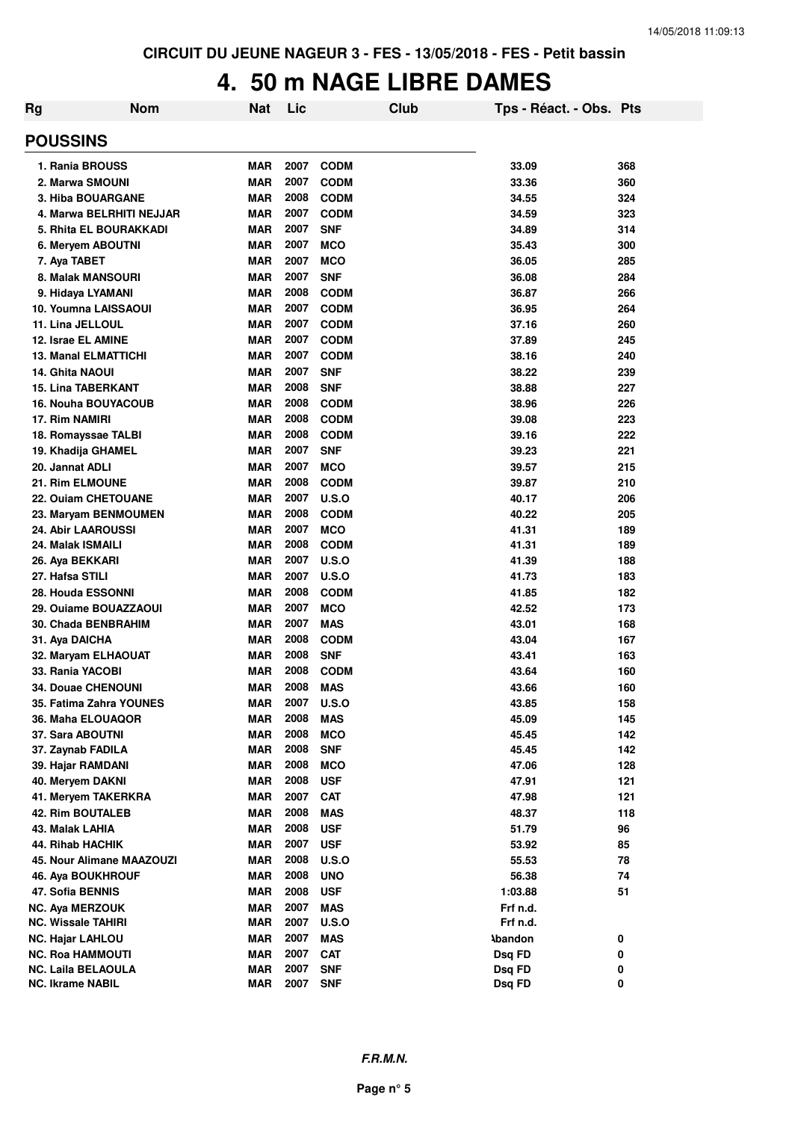# **4. 50 m NAGE LIBRE DAMES**

| <b>Rg</b> | <b>Nom</b>                    | <b>Nat</b> | Lic  |              | <b>Club</b> | Tps - Réact. - Obs. Pts |     |
|-----------|-------------------------------|------------|------|--------------|-------------|-------------------------|-----|
|           | <b>POUSSINS</b>               |            |      |              |             |                         |     |
|           | 1. Rania BROUSS               | <b>MAR</b> | 2007 | <b>CODM</b>  |             | 33.09                   | 368 |
|           | 2. Marwa SMOUNI               | <b>MAR</b> | 2007 | <b>CODM</b>  |             | 33.36                   | 360 |
|           | <b>3. Hiba BOUARGANE</b>      | <b>MAR</b> | 2008 | <b>CODM</b>  |             | 34.55                   | 324 |
|           | 4. Marwa BELRHITI NEJJAR      | <b>MAR</b> | 2007 | <b>CODM</b>  |             | 34.59                   | 323 |
|           | <b>5. Rhita EL BOURAKKADI</b> | <b>MAR</b> | 2007 | <b>SNF</b>   |             | 34.89                   | 314 |
|           | 6. Meryem ABOUTNI             | <b>MAR</b> | 2007 | <b>MCO</b>   |             | 35.43                   | 300 |
|           | 7. Aya TABET                  | <b>MAR</b> | 2007 | <b>MCO</b>   |             | 36.05                   | 285 |
|           | 8. Malak MANSOURI             | <b>MAR</b> | 2007 | <b>SNF</b>   |             | 36.08                   | 284 |
|           | 9. Hidaya LYAMANI             | <b>MAR</b> | 2008 | <b>CODM</b>  |             | 36.87                   | 266 |
|           | 10. Youmna LAISSAOUI          | <b>MAR</b> | 2007 | <b>CODM</b>  |             | 36.95                   | 264 |
|           | 11. Lina JELLOUL              | <b>MAR</b> | 2007 | <b>CODM</b>  |             | 37.16                   | 260 |
|           | 12. Israe EL AMINE            | <b>MAR</b> | 2007 | <b>CODM</b>  |             | 37.89                   | 245 |
|           | <b>13. Manal ELMATTICHI</b>   | <b>MAR</b> | 2007 | <b>CODM</b>  |             | 38.16                   | 240 |
|           | <b>14. Ghita NAOUI</b>        | <b>MAR</b> | 2007 | <b>SNF</b>   |             | 38.22                   | 239 |
|           | <b>15. Lina TABERKANT</b>     | <b>MAR</b> | 2008 | <b>SNF</b>   |             | 38.88                   | 227 |
|           | <b>16. Nouha BOUYACOUB</b>    | <b>MAR</b> | 2008 | <b>CODM</b>  |             | 38.96                   | 226 |
|           | 17. Rim NAMIRI                | <b>MAR</b> | 2008 | <b>CODM</b>  |             | 39.08                   | 223 |
|           | 18. Romayssae TALBI           | <b>MAR</b> | 2008 | <b>CODM</b>  |             | 39.16                   | 222 |
|           | 19. Khadija GHAMEL            | <b>MAR</b> | 2007 | <b>SNF</b>   |             | 39.23                   | 221 |
|           | 20. Jannat ADLI               | <b>MAR</b> | 2007 | <b>MCO</b>   |             | 39.57                   | 215 |
|           | 21. Rim ELMOUNE               | <b>MAR</b> | 2008 | <b>CODM</b>  |             | 39.87                   | 210 |
|           | 22. Ouiam CHETOUANE           | <b>MAR</b> | 2007 | <b>U.S.O</b> |             | 40.17                   | 206 |
|           | 23. Maryam BENMOUMEN          | <b>MAR</b> | 2008 | <b>CODM</b>  |             | 40.22                   | 205 |
|           | <b>24. Abir LAAROUSSI</b>     | <b>MAR</b> | 2007 | <b>MCO</b>   |             | 41.31                   | 189 |
|           | 24. Malak ISMAILI             | <b>MAR</b> | 2008 | <b>CODM</b>  |             | 41.31                   | 189 |
|           | 26. Aya BEKKARI               | <b>MAR</b> | 2007 | U.S.O        |             | 41.39                   | 188 |
|           | 27. Hafsa STILI               | <b>MAR</b> | 2007 | U.S.O        |             | 41.73                   | 183 |
|           | 28. Houda ESSONNI             | <b>MAR</b> | 2008 | <b>CODM</b>  |             | 41.85                   | 182 |
|           | 29. Ouiame BOUAZZAOUI         | <b>MAR</b> | 2007 | <b>MCO</b>   |             | 42.52                   | 173 |
|           | 30. Chada BENBRAHIM           | <b>MAR</b> | 2007 | <b>MAS</b>   |             | 43.01                   | 168 |
|           | 31. Aya DAICHA                | <b>MAR</b> | 2008 | <b>CODM</b>  |             | 43.04                   | 167 |
|           | 32. Maryam ELHAOUAT           | <b>MAR</b> | 2008 | <b>SNF</b>   |             | 43.41                   | 163 |
|           | 33. Rania YACOBI              | <b>MAR</b> | 2008 | <b>CODM</b>  |             | 43.64                   | 160 |
|           | <b>34. Douae CHENOUNI</b>     | <b>MAR</b> | 2008 | <b>MAS</b>   |             | 43.66                   | 160 |
|           | 35. Fatima Zahra YOUNES       | <b>MAR</b> | 2007 | U.S.O        |             | 43.85                   | 158 |
|           | 36. Maha ELOUAQOR             | <b>MAR</b> | 2008 | <b>MAS</b>   |             | 45.09                   | 145 |
|           | 37. Sara ABOUTNI              | <b>MAR</b> | 2008 | <b>MCO</b>   |             | 45.45                   | 142 |
|           | 37. Zaynab FADILA             | <b>MAR</b> | 2008 | <b>SNF</b>   |             | 45.45                   | 142 |
|           | 39. Hajar RAMDANI             | <b>MAR</b> | 2008 | <b>MCO</b>   |             | 47.06                   | 128 |
|           | 40. Meryem DAKNI              | <b>MAR</b> | 2008 | <b>USF</b>   |             | 47.91                   | 121 |
|           | 41. Meryem TAKERKRA           | <b>MAR</b> | 2007 | <b>CAT</b>   |             | 47.98                   | 121 |
|           | <b>42. Rim BOUTALEB</b>       | <b>MAR</b> | 2008 | <b>MAS</b>   |             | 48.37                   | 118 |
|           | 43. Malak LAHIA               | <b>MAR</b> | 2008 | <b>USF</b>   |             | 51.79                   | 96  |
|           | <b>44. Rihab HACHIK</b>       | <b>MAR</b> | 2007 | <b>USF</b>   |             | 53.92                   | 85  |
|           | 45. Nour Alimane MAAZOUZI     | <b>MAR</b> | 2008 | U.S.O        |             | 55.53                   | 78  |
|           | 46. Aya BOUKHROUF             | <b>MAR</b> | 2008 | <b>UNO</b>   |             | 56.38                   | 74  |
|           | 47. Sofia BENNIS              | <b>MAR</b> | 2008 | <b>USF</b>   |             | 1:03.88                 | 51  |
|           | NC. Aya MERZOUK               | <b>MAR</b> | 2007 | <b>MAS</b>   |             | Frf n.d.                |     |
|           | <b>NC. Wissale TAHIRI</b>     | <b>MAR</b> | 2007 | <b>U.S.O</b> |             | Frf n.d.                |     |
|           | <b>NC. Hajar LAHLOU</b>       | <b>MAR</b> | 2007 | <b>MAS</b>   |             | <b>Abandon</b>          | 0   |
|           | <b>NC. Roa HAMMOUTI</b>       | <b>MAR</b> | 2007 | <b>CAT</b>   |             | Dsq FD                  | 0   |
|           | <b>NC. Laila BELAOULA</b>     | <b>MAR</b> | 2007 | <b>SNF</b>   |             | Dsq FD                  | 0   |
|           | NC. Ikrame NABIL              | <b>MAR</b> | 2007 | <b>SNF</b>   |             | Dsq FD                  | 0   |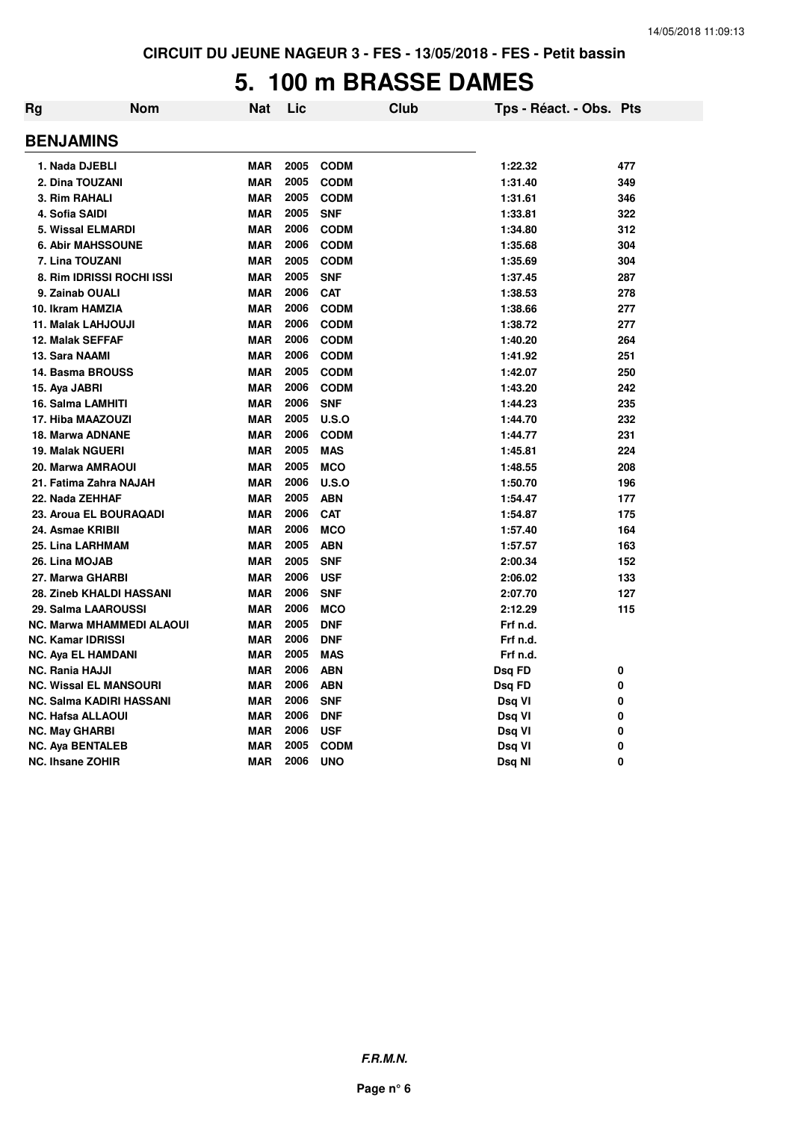### **5. 100 m BRASSE DAMES**

| Rg | <b>Nom</b>                       | Nat        | Lic  | <b>Club</b> | Tps - Réact. - Obs. Pts |              |
|----|----------------------------------|------------|------|-------------|-------------------------|--------------|
|    | <b>BENJAMINS</b>                 |            |      |             |                         |              |
|    | 1. Nada DJEBLI                   | <b>MAR</b> | 2005 | <b>CODM</b> | 1:22.32                 | 477          |
|    | 2. Dina TOUZANI                  | <b>MAR</b> | 2005 | <b>CODM</b> | 1:31.40                 | 349          |
|    | 3. Rim RAHALI                    | <b>MAR</b> | 2005 | <b>CODM</b> | 1:31.61                 | 346          |
|    | 4. Sofia SAIDI                   | <b>MAR</b> | 2005 | <b>SNF</b>  | 1:33.81                 | 322          |
|    | <b>5. Wissal ELMARDI</b>         | <b>MAR</b> | 2006 | <b>CODM</b> | 1:34.80                 | 312          |
|    | <b>6. Abir MAHSSOUNE</b>         | <b>MAR</b> | 2006 | <b>CODM</b> | 1:35.68                 | 304          |
|    | 7. Lina TOUZANI                  | <b>MAR</b> | 2005 | <b>CODM</b> | 1:35.69                 | 304          |
|    | 8. Rim IDRISSI ROCHI ISSI        | <b>MAR</b> | 2005 | <b>SNF</b>  | 1:37.45                 | 287          |
|    | 9. Zainab OUALI                  | <b>MAR</b> | 2006 | <b>CAT</b>  | 1:38.53                 | 278          |
|    | 10. Ikram HAMZIA                 | <b>MAR</b> | 2006 | <b>CODM</b> | 1:38.66                 | 277          |
|    | 11. Malak LAHJOUJI               | <b>MAR</b> | 2006 | <b>CODM</b> | 1:38.72                 | 277          |
|    | <b>12. Malak SEFFAF</b>          | <b>MAR</b> | 2006 | <b>CODM</b> | 1:40.20                 | 264          |
|    | 13. Sara NAAMI                   | <b>MAR</b> | 2006 | <b>CODM</b> | 1:41.92                 | 251          |
|    | 14. Basma BROUSS                 | <b>MAR</b> | 2005 | <b>CODM</b> | 1:42.07                 | 250          |
|    | 15. Aya JABRI                    | <b>MAR</b> | 2006 | <b>CODM</b> | 1:43.20                 | 242          |
|    | 16. Salma LAMHITI                | <b>MAR</b> | 2006 | <b>SNF</b>  | 1:44.23                 | 235          |
|    | 17. Hiba MAAZOUZI                | <b>MAR</b> | 2005 | U.S.O       | 1:44.70                 | 232          |
|    | 18. Marwa ADNANE                 | <b>MAR</b> | 2006 | <b>CODM</b> | 1:44.77                 | 231          |
|    | <b>19. Malak NGUERI</b>          | <b>MAR</b> | 2005 | <b>MAS</b>  | 1:45.81                 | 224          |
|    | 20. Marwa AMRAOUI                | <b>MAR</b> | 2005 | <b>MCO</b>  | 1:48.55                 | 208          |
|    | 21. Fatima Zahra NAJAH           | <b>MAR</b> | 2006 | U.S.O       | 1:50.70                 | 196          |
|    | 22. Nada ZEHHAF                  | <b>MAR</b> | 2005 | <b>ABN</b>  | 1:54.47                 | 177          |
|    | 23. Aroua EL BOURAQADI           | <b>MAR</b> | 2006 | <b>CAT</b>  | 1:54.87                 | 175          |
|    | 24. Asmae KRIBII                 | <b>MAR</b> | 2006 | <b>MCO</b>  | 1:57.40                 | 164          |
|    | 25. Lina LARHMAM                 | <b>MAR</b> | 2005 | <b>ABN</b>  | 1:57.57                 | 163          |
|    | 26. Lina MOJAB                   | <b>MAR</b> | 2005 | <b>SNF</b>  | 2:00.34                 | 152          |
|    | 27. Marwa GHARBI                 | <b>MAR</b> | 2006 | <b>USF</b>  | 2:06.02                 | 133          |
|    | 28. Zineb KHALDI HASSANI         | <b>MAR</b> | 2006 | <b>SNF</b>  | 2:07.70                 | 127          |
|    | 29. Salma LAAROUSSI              | <b>MAR</b> | 2006 | <b>MCO</b>  | 2:12.29                 | 115          |
|    | <b>NC. Marwa MHAMMEDI ALAOUI</b> | <b>MAR</b> | 2005 | <b>DNF</b>  | Frf n.d.                |              |
|    | <b>NC. Kamar IDRISSI</b>         | <b>MAR</b> | 2006 | <b>DNF</b>  | Frf n.d.                |              |
|    | <b>NC. Aya EL HAMDANI</b>        | <b>MAR</b> | 2005 | <b>MAS</b>  | Frf n.d.                |              |
|    | <b>NC. Rania HAJJI</b>           | <b>MAR</b> | 2006 | <b>ABN</b>  | Dsq FD                  | 0            |
|    | <b>NC. Wissal EL MANSOURI</b>    | <b>MAR</b> | 2006 | <b>ABN</b>  | Dsq FD                  | 0            |
|    | NC. Salma KADIRI HASSANI         | <b>MAR</b> | 2006 | <b>SNF</b>  | Dsq VI                  | 0            |
|    | <b>NC. Hafsa ALLAOUI</b>         | <b>MAR</b> | 2006 | <b>DNF</b>  | Dsq VI                  | 0            |
|    | <b>NC. May GHARBI</b>            | <b>MAR</b> | 2006 | <b>USF</b>  | Dsq VI                  | 0            |
|    | <b>NC. Aya BENTALEB</b>          | <b>MAR</b> | 2005 | <b>CODM</b> | Dsq VI                  | 0            |
|    | <b>NC. Ihsane ZOHIR</b>          | <b>MAR</b> | 2006 | <b>UNO</b>  | Dsq NI                  | $\mathbf{0}$ |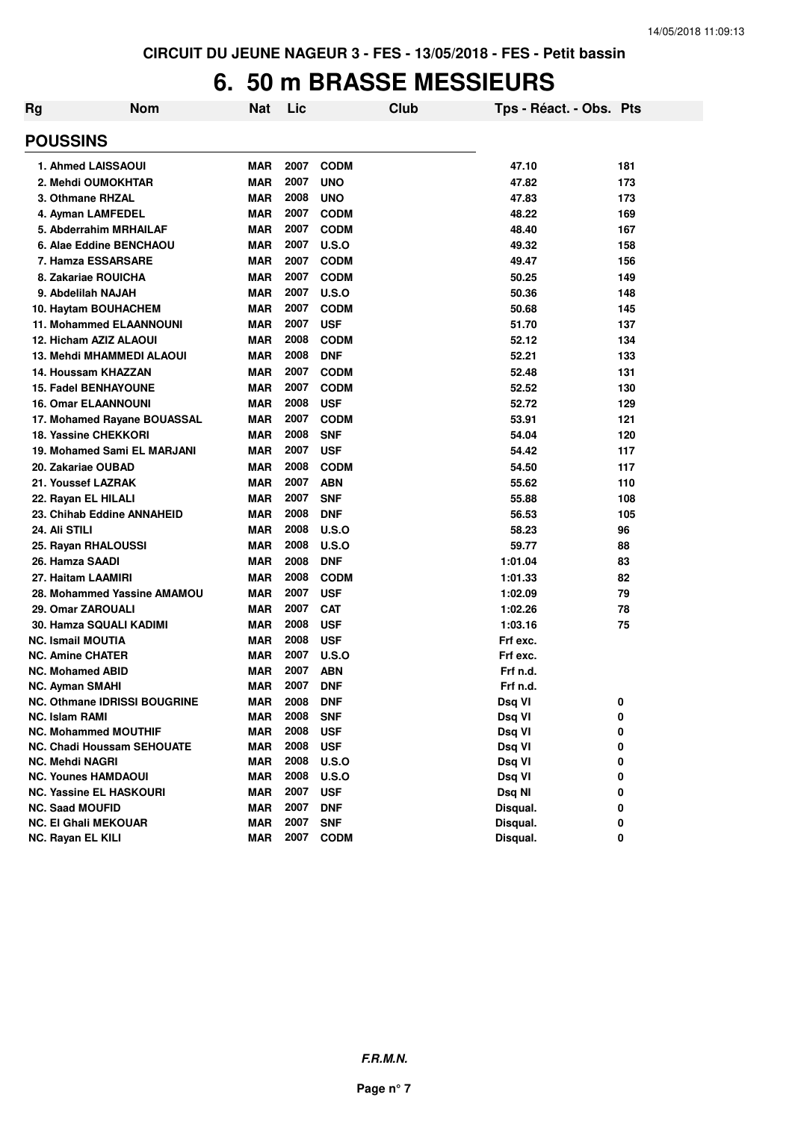### **6. 50 m BRASSE MESSIEURS**

| Rg | <b>Nom</b>                          | Nat        | Lic  | Club         | Tps - Réact. - Obs. Pts |     |
|----|-------------------------------------|------------|------|--------------|-------------------------|-----|
|    | <b>POUSSINS</b>                     |            |      |              |                         |     |
|    | 1. Ahmed LAISSAOUI                  | <b>MAR</b> | 2007 | <b>CODM</b>  | 47.10                   | 181 |
|    | 2. Mehdi OUMOKHTAR                  | <b>MAR</b> | 2007 | <b>UNO</b>   | 47.82                   | 173 |
|    | 3. Othmane RHZAL                    | <b>MAR</b> | 2008 | <b>UNO</b>   | 47.83                   | 173 |
|    | 4. Ayman LAMFEDEL                   | <b>MAR</b> | 2007 | <b>CODM</b>  | 48.22                   | 169 |
|    | 5. Abderrahim MRHAILAF              | <b>MAR</b> | 2007 | <b>CODM</b>  | 48.40                   | 167 |
|    | 6. Alae Eddine BENCHAOU             | <b>MAR</b> | 2007 | U.S.O        | 49.32                   | 158 |
|    | 7. Hamza ESSARSARE                  | MAR        | 2007 | <b>CODM</b>  | 49.47                   | 156 |
|    | 8. Zakariae ROUICHA                 | MAR        | 2007 | <b>CODM</b>  | 50.25                   | 149 |
|    | 9. Abdelilah NAJAH                  | <b>MAR</b> | 2007 | U.S.O        | 50.36                   | 148 |
|    | 10. Haytam BOUHACHEM                | MAR        | 2007 | <b>CODM</b>  | 50.68                   | 145 |
|    | 11. Mohammed ELAANNOUNI             | MAR        | 2007 | <b>USF</b>   | 51.70                   | 137 |
|    | 12. Hicham AZIZ ALAOUI              | MAR        | 2008 | <b>CODM</b>  | 52.12                   | 134 |
|    | 13. Mehdi MHAMMEDI ALAOUI           | MAR        | 2008 | <b>DNF</b>   | 52.21                   | 133 |
|    | 14. Houssam KHAZZAN                 | <b>MAR</b> | 2007 | <b>CODM</b>  | 52.48                   | 131 |
|    | <b>15. Fadel BENHAYOUNE</b>         | <b>MAR</b> | 2007 | <b>CODM</b>  | 52.52                   | 130 |
|    | <b>16. Omar ELAANNOUNI</b>          | <b>MAR</b> | 2008 | <b>USF</b>   | 52.72                   | 129 |
|    | 17. Mohamed Rayane BOUASSAL         | MAR        | 2007 | <b>CODM</b>  | 53.91                   | 121 |
|    | 18. Yassine CHEKKORI                | <b>MAR</b> | 2008 | <b>SNF</b>   | 54.04                   | 120 |
|    | 19. Mohamed Sami EL MARJANI         | <b>MAR</b> | 2007 | <b>USF</b>   | 54.42                   | 117 |
|    | 20. Zakariae OUBAD                  | <b>MAR</b> | 2008 | <b>CODM</b>  | 54.50                   | 117 |
|    | 21. Youssef LAZRAK                  | <b>MAR</b> | 2007 | <b>ABN</b>   | 55.62                   | 110 |
|    | 22. Rayan EL HILALI                 | <b>MAR</b> | 2007 | <b>SNF</b>   | 55.88                   | 108 |
|    | 23. Chihab Eddine ANNAHEID          | MAR        | 2008 | <b>DNF</b>   | 56.53                   | 105 |
|    | 24. Ali STILI                       | <b>MAR</b> | 2008 | U.S.O        | 58.23                   | 96  |
|    | 25. Rayan RHALOUSSI                 | <b>MAR</b> | 2008 | U.S.O        | 59.77                   | 88  |
|    | 26. Hamza SAADI                     | <b>MAR</b> | 2008 | <b>DNF</b>   | 1:01.04                 | 83  |
|    | 27. Haitam LAAMIRI                  | <b>MAR</b> | 2008 | <b>CODM</b>  | 1:01.33                 | 82  |
|    | 28. Mohammed Yassine AMAMOU         | <b>MAR</b> | 2007 | <b>USF</b>   | 1:02.09                 | 79  |
|    | 29. Omar ZAROUALI                   | <b>MAR</b> | 2007 | <b>CAT</b>   | 1:02.26                 | 78  |
|    | 30. Hamza SQUALI KADIMI             | <b>MAR</b> | 2008 | <b>USF</b>   | 1:03.16                 | 75  |
|    | <b>NC. Ismail MOUTIA</b>            | <b>MAR</b> | 2008 | <b>USF</b>   | Frf exc.                |     |
|    | <b>NC. Amine CHATER</b>             | MAR        | 2007 | U.S.O        | Frf exc.                |     |
|    | <b>NC. Mohamed ABID</b>             | <b>MAR</b> | 2007 | <b>ABN</b>   | Frf n.d.                |     |
|    | <b>NC. Ayman SMAHI</b>              | <b>MAR</b> | 2007 | <b>DNF</b>   | Frf n.d.                |     |
|    | <b>NC. Othmane IDRISSI BOUGRINE</b> | MAR        | 2008 | <b>DNF</b>   | Dsq VI                  | 0   |
|    | <b>NC. Islam RAMI</b>               | <b>MAR</b> | 2008 | <b>SNF</b>   | Dsq VI                  | 0   |
|    | <b>NC. Mohammed MOUTHIF</b>         | <b>MAR</b> | 2008 | <b>USF</b>   | Dsq VI                  | 0   |
|    | <b>NC. Chadi Houssam SEHOUATE</b>   | MAR        | 2008 | <b>USF</b>   | Dsq VI                  | 0   |
|    | <b>NC. Mehdi NAGRI</b>              | MAR        | 2008 | <b>U.S.O</b> | Dsq VI                  | 0   |
|    | <b>NC. Younes HAMDAOUI</b>          | <b>MAR</b> | 2008 | <b>U.S.O</b> | Dsq VI                  | 0   |
|    | <b>NC. Yassine EL HASKOURI</b>      | <b>MAR</b> | 2007 | <b>USF</b>   | Dsq NI                  | 0   |
|    | <b>NC. Saad MOUFID</b>              | <b>MAR</b> | 2007 | <b>DNF</b>   | Disqual.                | 0   |
|    | <b>NC. El Ghali MEKOUAR</b>         | MAR        | 2007 | <b>SNF</b>   | Disqual.                | 0   |
|    | NC. Rayan EL KILI                   | <b>MAR</b> | 2007 | <b>CODM</b>  | Disqual.                | 0   |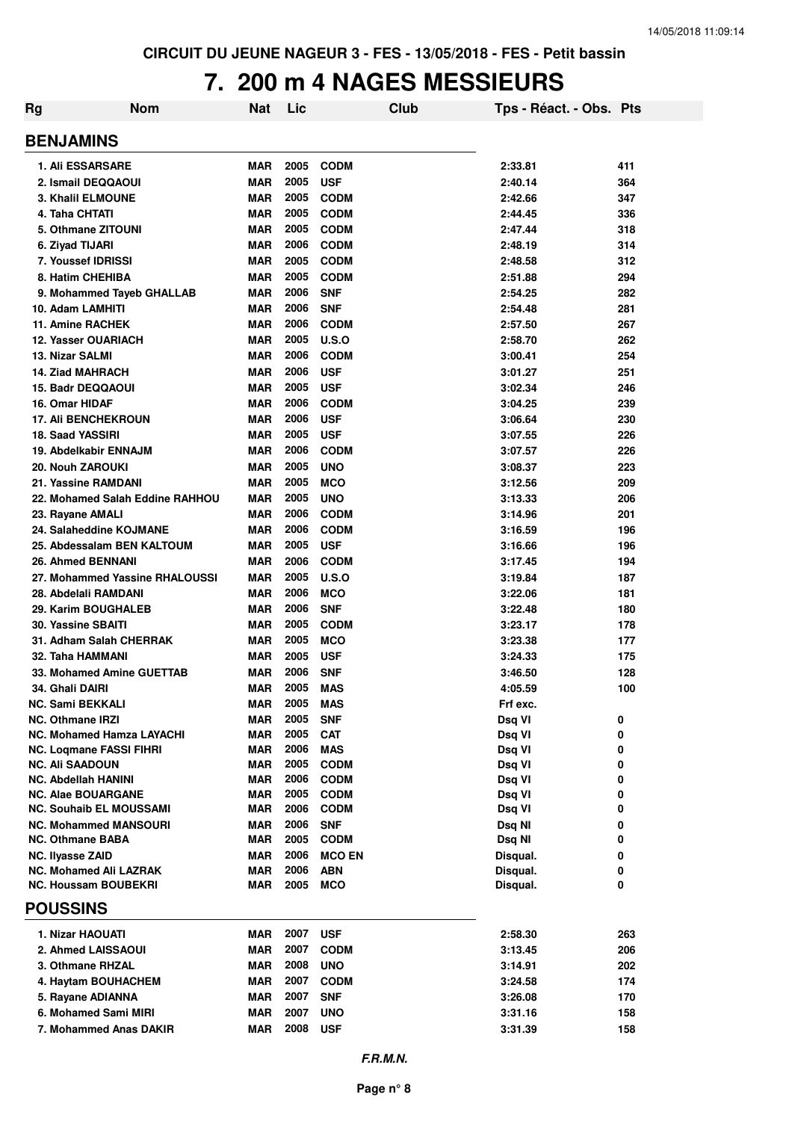### **7. 200 m 4 NAGES MESSIEURS**

| Rg | <b>Nom</b>                                              | Nat                      | Lic          |                           | Club | Tps - Réact. - Obs. Pts |            |
|----|---------------------------------------------------------|--------------------------|--------------|---------------------------|------|-------------------------|------------|
|    | <b>BENJAMINS</b>                                        |                          |              |                           |      |                         |            |
|    | <b>1. Ali ESSARSARE</b>                                 | <b>MAR</b>               | 2005         | <b>CODM</b>               |      | 2:33.81                 | 411        |
|    | 2. Ismail DEQQAOUI                                      | <b>MAR</b>               | 2005         | <b>USF</b>                |      | 2:40.14                 | 364        |
|    | <b>3. Khalil ELMOUNE</b>                                | <b>MAR</b>               | 2005         | <b>CODM</b>               |      | 2:42.66                 | 347        |
|    | 4. Taha CHTATI                                          | <b>MAR</b>               | 2005         | <b>CODM</b>               |      | 2:44.45                 | 336        |
|    | 5. Othmane ZITOUNI                                      | <b>MAR</b>               | 2005         | <b>CODM</b>               |      | 2:47.44                 | 318        |
|    | 6. Ziyad TIJARI                                         | <b>MAR</b>               | 2006         | <b>CODM</b>               |      | 2:48.19                 | 314        |
|    | 7. Youssef IDRISSI                                      | <b>MAR</b>               | 2005         | <b>CODM</b>               |      | 2:48.58                 | 312        |
|    | 8. Hatim CHEHIBA                                        | <b>MAR</b>               | 2005         | <b>CODM</b>               |      | 2:51.88                 | 294        |
|    | 9. Mohammed Tayeb GHALLAB                               | <b>MAR</b>               | 2006         | <b>SNF</b>                |      | 2:54.25                 | 282        |
|    | 10. Adam LAMHITI                                        | <b>MAR</b>               | 2006         | <b>SNF</b>                |      | 2:54.48                 | 281        |
|    | <b>11. Amine RACHEK</b>                                 | <b>MAR</b>               | 2006         | <b>CODM</b>               |      | 2:57.50                 | 267        |
|    | <b>12. Yasser OUARIACH</b>                              | <b>MAR</b>               | 2005         | U.S.O                     |      | 2:58.70                 | 262        |
|    | <b>13. Nizar SALMI</b><br><b>14. Ziad MAHRACH</b>       | <b>MAR</b>               | 2006<br>2006 | <b>CODM</b>               |      | 3:00.41                 | 254        |
|    | <b>15. Badr DEQQAOUI</b>                                | <b>MAR</b><br><b>MAR</b> | 2005         | <b>USF</b>                |      | 3:01.27                 | 251<br>246 |
|    | 16. Omar HIDAF                                          | <b>MAR</b>               | 2006         | <b>USF</b><br><b>CODM</b> |      | 3:02.34<br>3:04.25      | 239        |
|    | <b>17. Ali BENCHEKROUN</b>                              | <b>MAR</b>               | 2006         | <b>USF</b>                |      | 3:06.64                 | 230        |
|    | 18. Saad YASSIRI                                        | <b>MAR</b>               | 2005         | <b>USF</b>                |      | 3:07.55                 | 226        |
|    | 19. Abdelkabir ENNAJM                                   | <b>MAR</b>               | 2006         | <b>CODM</b>               |      | 3:07.57                 | 226        |
|    | 20. Nouh ZAROUKI                                        | <b>MAR</b>               | 2005         | <b>UNO</b>                |      | 3:08.37                 | 223        |
|    | 21. Yassine RAMDANI                                     | <b>MAR</b>               | 2005         | <b>MCO</b>                |      | 3:12.56                 | 209        |
|    | 22. Mohamed Salah Eddine RAHHOU                         | <b>MAR</b>               | 2005         | <b>UNO</b>                |      | 3:13.33                 | 206        |
|    | 23. Rayane AMALI                                        | <b>MAR</b>               | 2006         | <b>CODM</b>               |      | 3:14.96                 | 201        |
|    | 24. Salaheddine KOJMANE                                 | <b>MAR</b>               | 2006         | <b>CODM</b>               |      | 3:16.59                 | 196        |
|    | 25. Abdessalam BEN KALTOUM                              | <b>MAR</b>               | 2005         | <b>USF</b>                |      | 3:16.66                 | 196        |
|    | 26. Ahmed BENNANI                                       | <b>MAR</b>               | 2006         | <b>CODM</b>               |      | 3:17.45                 | 194        |
|    | 27. Mohammed Yassine RHALOUSSI                          | <b>MAR</b>               | 2005         | U.S.O                     |      | 3:19.84                 | 187        |
|    | 28. Abdelali RAMDANI                                    | <b>MAR</b>               | 2006         | <b>MCO</b>                |      | 3:22.06                 | 181        |
|    | 29. Karim BOUGHALEB                                     | <b>MAR</b>               | 2006         | <b>SNF</b>                |      | 3:22.48                 | 180        |
|    | 30. Yassine SBAITI                                      | <b>MAR</b>               | 2005         | <b>CODM</b>               |      | 3:23.17                 | 178        |
|    | 31. Adham Salah CHERRAK                                 | <b>MAR</b>               | 2005         | <b>MCO</b>                |      | 3:23.38                 | 177        |
|    | 32. Taha HAMMANI                                        | <b>MAR</b>               | 2005         | <b>USF</b>                |      | 3:24.33                 | 175        |
|    | 33. Mohamed Amine GUETTAB                               | <b>MAR</b>               | 2006         | <b>SNF</b>                |      | 3:46.50                 | 128        |
|    | 34. Ghali DAIRI                                         | <b>MAR</b>               | 2005         | <b>MAS</b>                |      | 4:05.59                 | 100        |
|    | <b>NC. Sami BEKKALI</b>                                 | <b>MAR</b>               | 2005         | <b>MAS</b>                |      | Frf exc.                |            |
|    | <b>NC. Othmane IRZI</b>                                 | <b>MAR</b>               | 2005         | <b>SNF</b>                |      | Dsq VI                  | 0          |
|    | <b>NC. Mohamed Hamza LAYACHI</b>                        | <b>MAR</b>               | 2005         | <b>CAT</b>                |      | Dsq VI                  | 0          |
|    | NC. Loqmane FASSI FIHRI                                 | <b>MAR</b>               | 2006         | <b>MAS</b>                |      | Dsq VI                  | 0          |
|    | <b>NC. Ali SAADOUN</b>                                  | <b>MAR</b>               | 2005         | <b>CODM</b>               |      | Dsq VI                  | 0          |
|    | NC. Abdellah HANINI                                     | MAR                      | 2006         | <b>CODM</b>               |      | Dsq VI                  | 0          |
|    | <b>NC. Alae BOUARGANE</b>                               | MAR                      | 2005         | <b>CODM</b>               |      | Dsq VI                  | 0          |
|    | NC. Souhaib EL MOUSSAMI                                 | MAR                      | 2006<br>2006 | <b>CODM</b>               |      | Dsq VI                  | 0          |
|    | <b>NC. Mohammed MANSOURI</b><br><b>NC. Othmane BABA</b> | <b>MAR</b><br><b>MAR</b> | 2005         | <b>SNF</b><br><b>CODM</b> |      | Dsq NI<br>Dsq NI        | 0<br>0     |
|    | NC. Ilyasse ZAID                                        | MAR                      | 2006         | <b>MCO EN</b>             |      | Disqual.                | 0          |
|    | <b>NC. Mohamed Ali LAZRAK</b>                           | <b>MAR</b>               | 2006         | <b>ABN</b>                |      | Disqual.                | 0          |
|    | <b>NC. Houssam BOUBEKRI</b>                             | <b>MAR</b>               | 2005         | <b>MCO</b>                |      | Disqual.                | 0          |
|    | <b>POUSSINS</b>                                         |                          |              |                           |      |                         |            |
|    |                                                         |                          |              |                           |      |                         |            |
|    | 1. Nizar HAOUATI                                        | MAR                      | 2007         | <b>USF</b>                |      | 2:58.30                 | 263        |
|    | 2. Ahmed LAISSAOUI                                      | MAR                      | 2007         | <b>CODM</b>               |      | 3:13.45                 | 206        |
|    | 3. Othmane RHZAL                                        | MAR                      | 2008<br>2007 | <b>UNO</b>                |      | 3:14.91                 | 202        |
|    | 4. Haytam BOUHACHEM                                     | MAR                      | 2007         | <b>CODM</b>               |      | 3:24.58                 | 174        |
|    | 5. Rayane ADIANNA<br>6. Mohamed Sami MIRI               | <b>MAR</b>               | 2007         | <b>SNF</b>                |      | 3:26.08                 | 170        |
|    | 7. Mohammed Anas DAKIR                                  | MAR<br>MAR               | 2008         | <b>UNO</b><br><b>USF</b>  |      | 3:31.16<br>3:31.39      | 158        |
|    |                                                         |                          |              |                           |      |                         | 158        |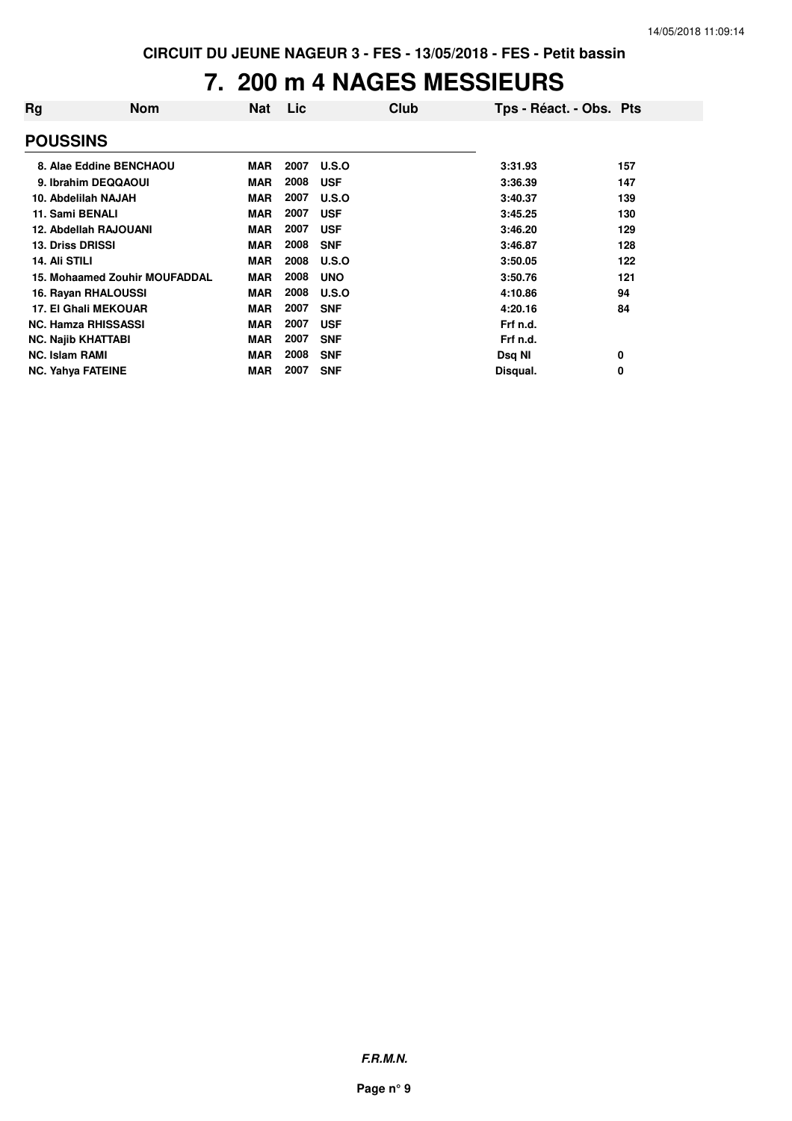### **7. 200 m 4 NAGES MESSIEURS**

| Rg                    | <b>Nom</b>                           | Nat        | Lic  | Club       | Tps - Réact. - Obs. Pts |     |
|-----------------------|--------------------------------------|------------|------|------------|-------------------------|-----|
| <b>POUSSINS</b>       |                                      |            |      |            |                         |     |
|                       | 8. Alae Eddine BENCHAOU              | <b>MAR</b> | 2007 | U.S.O      | 3:31.93                 | 157 |
|                       | 9. Ibrahim DEQQAOUI                  | <b>MAR</b> | 2008 | <b>USF</b> | 3:36.39                 | 147 |
|                       | 10. Abdelilah NAJAH                  | <b>MAR</b> | 2007 | U.S.O      | 3:40.37                 | 139 |
|                       | 11. Sami BENALI                      | <b>MAR</b> | 2007 | <b>USF</b> | 3:45.25                 | 130 |
|                       | 12. Abdellah RAJOUANI                | <b>MAR</b> | 2007 | <b>USF</b> | 3:46.20                 | 129 |
|                       | <b>13. Driss DRISSI</b>              | <b>MAR</b> | 2008 | <b>SNF</b> | 3:46.87                 | 128 |
| 14. Ali STILI         |                                      | <b>MAR</b> | 2008 | U.S.O      | 3:50.05                 | 122 |
|                       | <b>15. Mohaamed Zouhir MOUFADDAL</b> | <b>MAR</b> | 2008 | <b>UNO</b> | 3:50.76                 | 121 |
|                       | 16. Rayan RHALOUSSI                  | <b>MAR</b> | 2008 | U.S.O      | 4:10.86                 | 94  |
|                       | <b>17. El Ghali MEKOUAR</b>          | <b>MAR</b> | 2007 | <b>SNF</b> | 4:20.16                 | 84  |
|                       | <b>NC. Hamza RHISSASSI</b>           | <b>MAR</b> | 2007 | <b>USF</b> | Frf n.d.                |     |
|                       | <b>NC. Najib KHATTABI</b>            | <b>MAR</b> | 2007 | <b>SNF</b> | Frf n.d.                |     |
| <b>NC. Islam RAMI</b> |                                      | <b>MAR</b> | 2008 | <b>SNF</b> | Dsq NI                  | 0   |
|                       | <b>NC. Yahya FATEINE</b>             | <b>MAR</b> | 2007 | <b>SNF</b> | Disqual.                | 0   |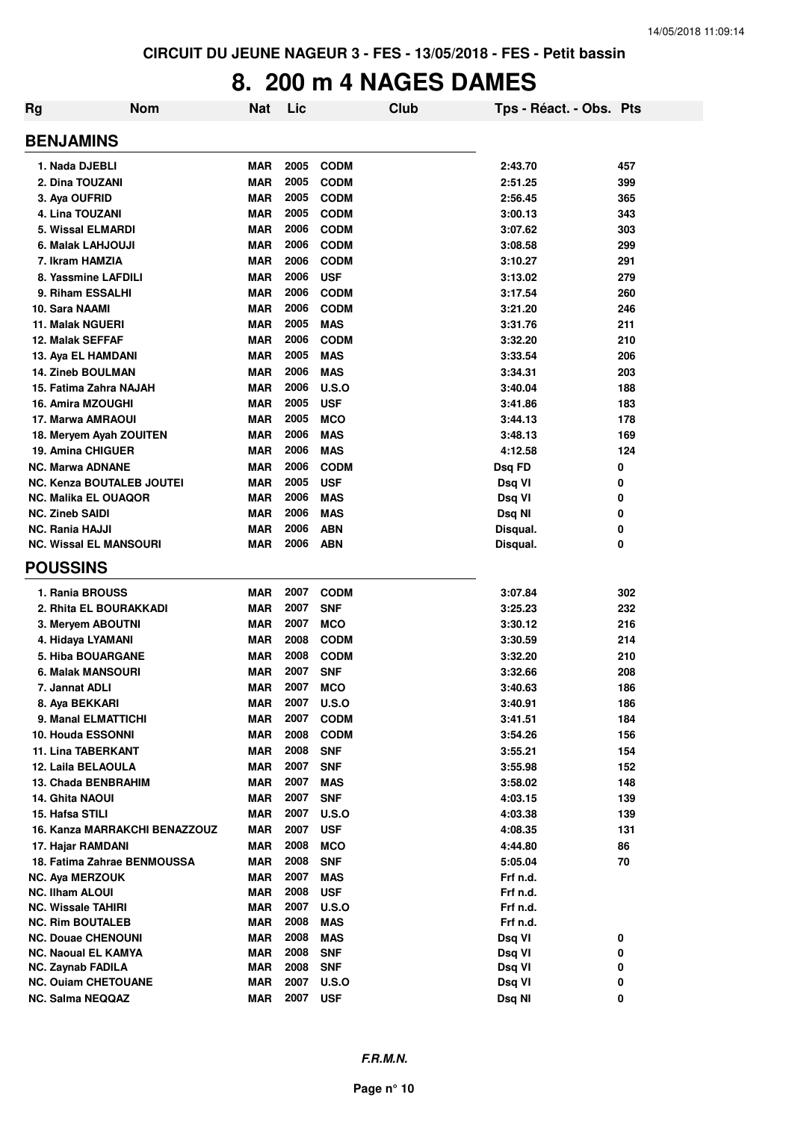# **8. 200 m 4 NAGES DAMES**

| Rg | <b>Nom</b>                       | <b>Nat</b> | Lic  |              | <b>Club</b> | Tps - Réact. - Obs. Pts |     |
|----|----------------------------------|------------|------|--------------|-------------|-------------------------|-----|
|    | <b>BENJAMINS</b>                 |            |      |              |             |                         |     |
|    | 1. Nada DJEBLI                   | <b>MAR</b> | 2005 | <b>CODM</b>  |             | 2:43.70                 | 457 |
|    | 2. Dina TOUZANI                  | <b>MAR</b> | 2005 | <b>CODM</b>  |             | 2:51.25                 | 399 |
|    | 3. Aya OUFRID                    | <b>MAR</b> | 2005 | <b>CODM</b>  |             | 2:56.45                 | 365 |
|    | 4. Lina TOUZANI                  | <b>MAR</b> | 2005 | <b>CODM</b>  |             | 3:00.13                 | 343 |
|    | 5. Wissal ELMARDI                | <b>MAR</b> | 2006 | <b>CODM</b>  |             | 3:07.62                 | 303 |
|    | 6. Malak LAHJOUJI                | <b>MAR</b> | 2006 | <b>CODM</b>  |             | 3:08.58                 | 299 |
|    | 7. Ikram HAMZIA                  | <b>MAR</b> | 2006 | <b>CODM</b>  |             | 3:10.27                 | 291 |
|    | 8. Yassmine LAFDILI              | <b>MAR</b> | 2006 | <b>USF</b>   |             | 3:13.02                 | 279 |
|    | 9. Riham ESSALHI                 | <b>MAR</b> | 2006 | <b>CODM</b>  |             | 3:17.54                 | 260 |
|    | 10. Sara NAAMI                   | <b>MAR</b> | 2006 | <b>CODM</b>  |             | 3:21.20                 | 246 |
|    | 11. Malak NGUERI                 | <b>MAR</b> | 2005 | <b>MAS</b>   |             | 3:31.76                 | 211 |
|    | 12. Malak SEFFAF                 | <b>MAR</b> | 2006 | <b>CODM</b>  |             | 3:32.20                 | 210 |
|    | 13. Aya EL HAMDANI               | <b>MAR</b> | 2005 | <b>MAS</b>   |             | 3:33.54                 | 206 |
|    | <b>14. Zineb BOULMAN</b>         | <b>MAR</b> | 2006 | <b>MAS</b>   |             | 3:34.31                 | 203 |
|    | 15. Fatima Zahra NAJAH           | <b>MAR</b> | 2006 | <b>U.S.O</b> |             | 3:40.04                 | 188 |
|    | 16. Amira MZOUGHI                | <b>MAR</b> | 2005 | <b>USF</b>   |             | 3:41.86                 | 183 |
|    | 17. Marwa AMRAOUI                | <b>MAR</b> | 2005 | <b>MCO</b>   |             | 3:44.13                 | 178 |
|    | 18. Meryem Ayah ZOUITEN          | <b>MAR</b> | 2006 | <b>MAS</b>   |             | 3:48.13                 | 169 |
|    | 19. Amina CHIGUER                | <b>MAR</b> | 2006 | <b>MAS</b>   |             | 4:12.58                 | 124 |
|    | <b>NC. Marwa ADNANE</b>          | MAR        | 2006 | <b>CODM</b>  |             | Dsq FD                  | 0   |
|    | <b>NC. Kenza BOUTALEB JOUTEI</b> | MAR        | 2005 | <b>USF</b>   |             | Dsq VI                  | 0   |
|    | <b>NC. Malika EL OUAQOR</b>      | MAR        | 2006 | <b>MAS</b>   |             | Dsq VI                  | 0   |
|    | <b>NC. Zineb SAIDI</b>           | <b>MAR</b> | 2006 | <b>MAS</b>   |             | Dsq NI                  | 0   |
|    | <b>NC. Rania HAJJI</b>           | <b>MAR</b> | 2006 | <b>ABN</b>   |             | Disqual.                | 0   |
|    | <b>NC. Wissal EL MANSOURI</b>    | <b>MAR</b> | 2006 | <b>ABN</b>   |             | Disqual.                | 0   |
|    | <b>POUSSINS</b>                  |            |      |              |             |                         |     |
|    | 1. Rania BROUSS                  | <b>MAR</b> | 2007 | <b>CODM</b>  |             | 3:07.84                 | 302 |
|    | 2. Rhita EL BOURAKKADI           | MAR        | 2007 | <b>SNF</b>   |             | 3:25.23                 | 232 |
|    | 3. Meryem ABOUTNI                | <b>MAR</b> | 2007 | <b>MCO</b>   |             | 3:30.12                 | 216 |
|    | 4. Hidaya LYAMANI                | <b>MAR</b> | 2008 | <b>CODM</b>  |             | 3:30.59                 | 214 |
|    | 5. Hiba BOUARGANE                | <b>MAR</b> | 2008 | <b>CODM</b>  |             | 3:32.20                 | 210 |
|    | 6. Malak MANSOURI                | <b>MAR</b> | 2007 | <b>SNF</b>   |             | 3:32.66                 | 208 |
|    | 7. Jannat ADLI                   | <b>MAR</b> | 2007 | <b>MCO</b>   |             | 3:40.63                 | 186 |
|    | 8. Aya BEKKARI                   | <b>MAR</b> | 2007 | <b>U.S.O</b> |             | 3:40.91                 | 186 |
|    | 9. Manal ELMATTICHI              | <b>MAR</b> | 2007 | <b>CODM</b>  |             | 3:41.51                 | 184 |
|    | <b>10. Houda ESSONNI</b>         | <b>MAR</b> | 2008 | <b>CODM</b>  |             | 3:54.26                 | 156 |
|    | <b>11. Lina TABERKANT</b>        | <b>MAR</b> | 2008 | <b>SNF</b>   |             | 3:55.21                 | 154 |
|    | 12. Laila BELAOULA               | <b>MAR</b> | 2007 | <b>SNF</b>   |             | 3:55.98                 | 152 |
|    | 13. Chada BENBRAHIM              | MAR        | 2007 | <b>MAS</b>   |             | 3:58.02                 | 148 |
|    | 14. Ghita NAOUI                  | <b>MAR</b> | 2007 | <b>SNF</b>   |             | 4:03.15                 | 139 |
|    | 15. Hafsa STILI                  | <b>MAR</b> | 2007 | <b>U.S.O</b> |             | 4:03.38                 | 139 |
|    | 16. Kanza MARRAKCHI BENAZZOUZ    | <b>MAR</b> | 2007 | <b>USF</b>   |             | 4:08.35                 | 131 |
|    | 17. Hajar RAMDANI                | <b>MAR</b> | 2008 | <b>MCO</b>   |             | 4:44.80                 | 86  |
|    | 18. Fatima Zahrae BENMOUSSA      | <b>MAR</b> | 2008 | <b>SNF</b>   |             | 5:05.04                 | 70  |
|    | <b>NC. Aya MERZOUK</b>           | <b>MAR</b> | 2007 | <b>MAS</b>   |             | Frf n.d.                |     |
|    | <b>NC. Ilham ALOUI</b>           | MAR        | 2008 | <b>USF</b>   |             | Frf n.d.                |     |
|    | <b>NC. Wissale TAHIRI</b>        | <b>MAR</b> | 2007 | <b>U.S.O</b> |             | Frf n.d.                |     |
|    | <b>NC. Rim BOUTALEB</b>          | <b>MAR</b> | 2008 | <b>MAS</b>   |             | Frf n.d.                |     |
|    | <b>NC. Douae CHENOUNI</b>        | MAR        | 2008 | <b>MAS</b>   |             | Dsq VI                  | 0   |
|    | <b>NC. Naoual EL KAMYA</b>       | <b>MAR</b> | 2008 | <b>SNF</b>   |             | Dsq VI                  | 0   |
|    | <b>NC. Zaynab FADILA</b>         | <b>MAR</b> | 2008 | <b>SNF</b>   |             | Dsq VI                  | 0   |
|    | <b>NC. Ouiam CHETOUANE</b>       | <b>MAR</b> | 2007 | <b>U.S.O</b> |             | Dsq VI                  | 0   |
|    | <b>NC. Salma NEQQAZ</b>          | <b>MAR</b> | 2007 | <b>USF</b>   |             | Dsq NI                  | 0   |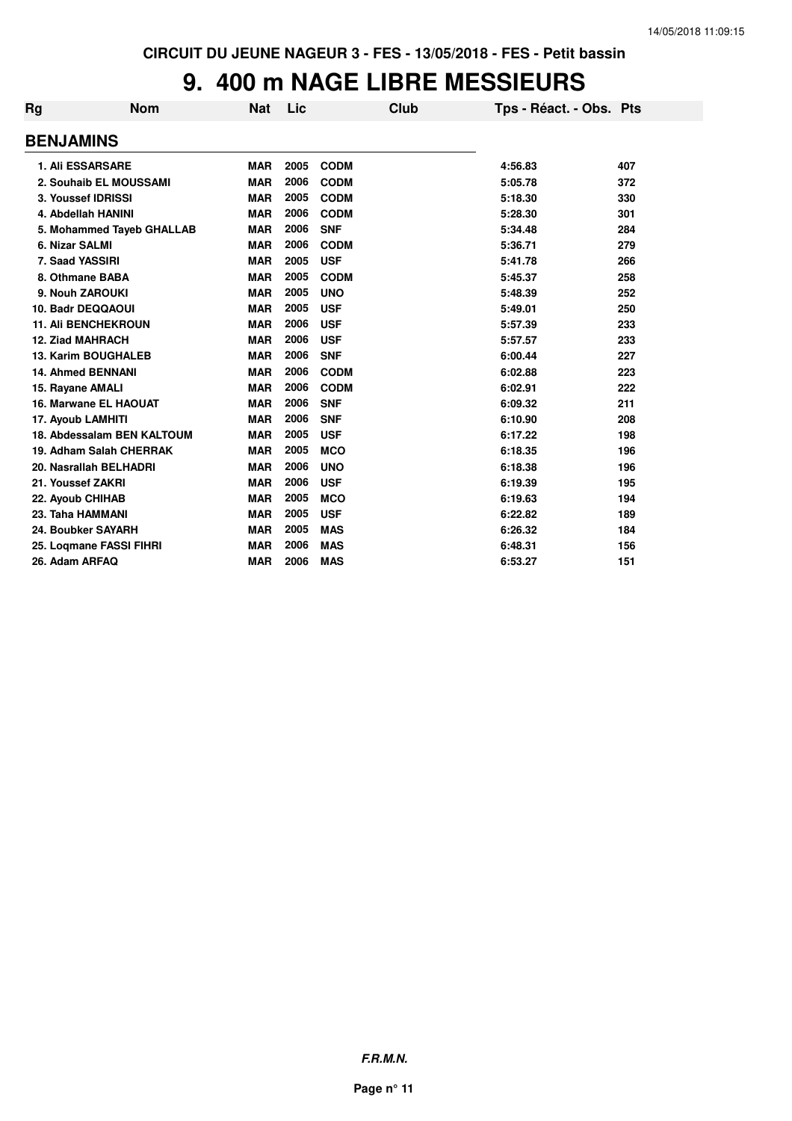# **9. 400 m NAGE LIBRE MESSIEURS**

| Rg               | <b>Nom</b>                 | <b>Nat</b> | Lic  | Club        | Tps - Réact. - Obs. Pts |     |
|------------------|----------------------------|------------|------|-------------|-------------------------|-----|
| <b>BENJAMINS</b> |                            |            |      |             |                         |     |
|                  | <b>1. Ali ESSARSARE</b>    | <b>MAR</b> | 2005 | <b>CODM</b> | 4:56.83                 | 407 |
|                  | 2. Souhaib EL MOUSSAMI     | <b>MAR</b> | 2006 | <b>CODM</b> | 5:05.78                 | 372 |
|                  | 3. Youssef IDRISSI         | <b>MAR</b> | 2005 | <b>CODM</b> | 5:18.30                 | 330 |
|                  | 4. Abdellah HANINI         | <b>MAR</b> | 2006 | <b>CODM</b> | 5:28.30                 | 301 |
|                  | 5. Mohammed Tayeb GHALLAB  | <b>MAR</b> | 2006 | <b>SNF</b>  | 5:34.48                 | 284 |
|                  | 6. Nizar SALMI             | <b>MAR</b> | 2006 | <b>CODM</b> | 5:36.71                 | 279 |
|                  | 7. Saad YASSIRI            | <b>MAR</b> | 2005 | <b>USF</b>  | 5:41.78                 | 266 |
|                  | 8. Othmane BABA            | <b>MAR</b> | 2005 | <b>CODM</b> | 5:45.37                 | 258 |
|                  | 9. Nouh ZAROUKI            | <b>MAR</b> | 2005 | <b>UNO</b>  | 5:48.39                 | 252 |
|                  | 10. Badr DEQQAOUI          | <b>MAR</b> | 2005 | <b>USF</b>  | 5:49.01                 | 250 |
|                  | <b>11. Ali BENCHEKROUN</b> | <b>MAR</b> | 2006 | <b>USF</b>  | 5:57.39                 | 233 |
|                  | <b>12. Ziad MAHRACH</b>    | <b>MAR</b> | 2006 | <b>USF</b>  | 5:57.57                 | 233 |
|                  | <b>13. Karim BOUGHALEB</b> | <b>MAR</b> | 2006 | <b>SNF</b>  | 6:00.44                 | 227 |
|                  | <b>14. Ahmed BENNANI</b>   | <b>MAR</b> | 2006 | <b>CODM</b> | 6:02.88                 | 223 |
|                  | 15. Rayane AMALI           | <b>MAR</b> | 2006 | <b>CODM</b> | 6:02.91                 | 222 |
|                  | 16. Marwane EL HAOUAT      | <b>MAR</b> | 2006 | <b>SNF</b>  | 6:09.32                 | 211 |
|                  | 17. Ayoub LAMHITI          | <b>MAR</b> | 2006 | <b>SNF</b>  | 6:10.90                 | 208 |
|                  | 18. Abdessalam BEN KALTOUM | <b>MAR</b> | 2005 | <b>USF</b>  | 6:17.22                 | 198 |
|                  | 19. Adham Salah CHERRAK    | <b>MAR</b> | 2005 | <b>MCO</b>  | 6:18.35                 | 196 |
|                  | 20. Nasrallah BELHADRI     | <b>MAR</b> | 2006 | <b>UNO</b>  | 6:18.38                 | 196 |
|                  | 21. Youssef ZAKRI          | <b>MAR</b> | 2006 | <b>USF</b>  | 6:19.39                 | 195 |
|                  | 22. Ayoub CHIHAB           | <b>MAR</b> | 2005 | <b>MCO</b>  | 6:19.63                 | 194 |
|                  | 23. Taha HAMMANI           | <b>MAR</b> | 2005 | <b>USF</b>  | 6:22.82                 | 189 |
|                  | 24. Boubker SAYARH         | <b>MAR</b> | 2005 | <b>MAS</b>  | 6:26.32                 | 184 |
|                  | 25. Loqmane FASSI FIHRI    | <b>MAR</b> | 2006 | <b>MAS</b>  | 6:48.31                 | 156 |
| 26. Adam ARFAQ   |                            | <b>MAR</b> | 2006 | <b>MAS</b>  | 6:53.27                 | 151 |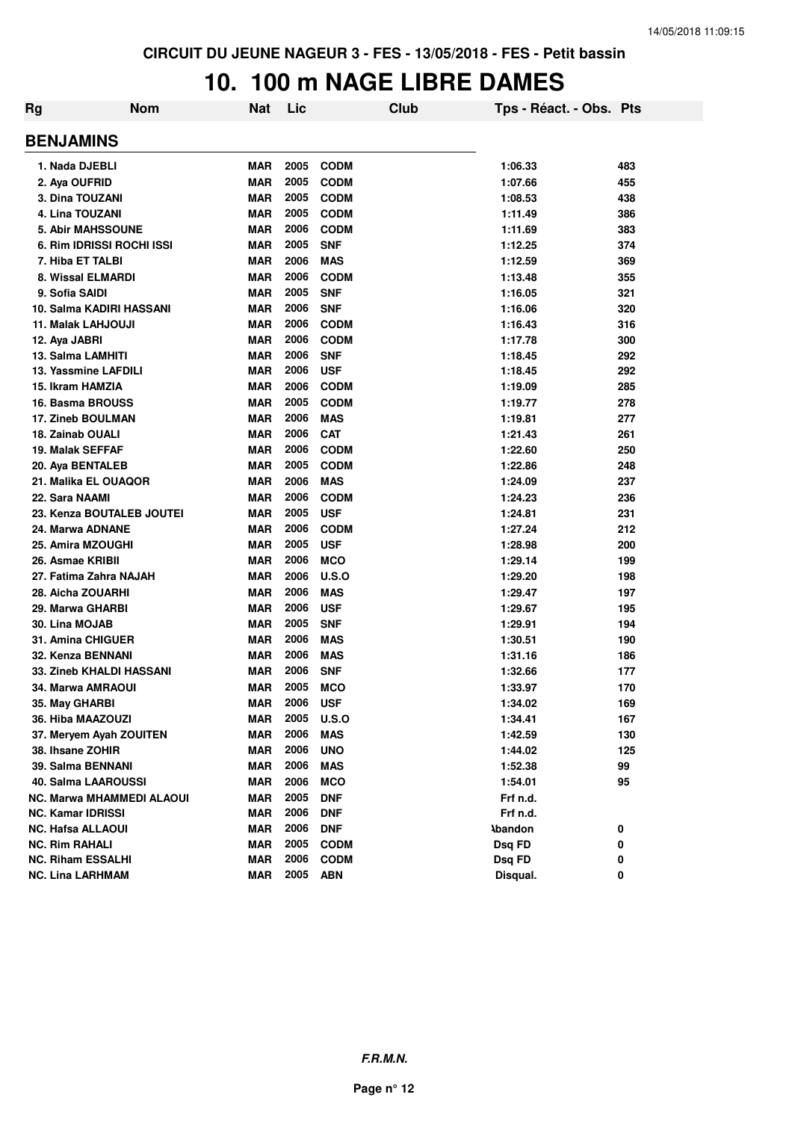### **10. 100 m NAGE LIBRE DAMES**

| Rg | <b>Nom</b>                      | Nat        | Lic  |              | Club | Tps - Réact. - Obs. Pts |     |
|----|---------------------------------|------------|------|--------------|------|-------------------------|-----|
|    | <b>BENJAMINS</b>                |            |      |              |      |                         |     |
|    | 1. Nada DJEBLI                  | <b>MAR</b> | 2005 | <b>CODM</b>  |      | 1:06.33                 | 483 |
|    | 2. Aya OUFRID                   | <b>MAR</b> | 2005 | <b>CODM</b>  |      | 1:07.66                 | 455 |
|    | 3. Dina TOUZANI                 | <b>MAR</b> | 2005 | <b>CODM</b>  |      | 1:08.53                 | 438 |
|    | 4. Lina TOUZANI                 | <b>MAR</b> | 2005 | <b>CODM</b>  |      | 1:11.49                 | 386 |
|    | <b>5. Abir MAHSSOUNE</b>        | <b>MAR</b> | 2006 | <b>CODM</b>  |      | 1:11.69                 | 383 |
|    | 6. Rim IDRISSI ROCHI ISSI       | <b>MAR</b> | 2005 | <b>SNF</b>   |      | 1:12.25                 | 374 |
|    | 7. Hiba ET TALBI                | <b>MAR</b> | 2006 | <b>MAS</b>   |      | 1:12.59                 | 369 |
|    | 8. Wissal ELMARDI               | <b>MAR</b> | 2006 | <b>CODM</b>  |      | 1:13.48                 | 355 |
|    | 9. Sofia SAIDI                  | <b>MAR</b> | 2005 | <b>SNF</b>   |      | 1:16.05                 | 321 |
|    | 10. Salma KADIRI HASSANI        | <b>MAR</b> | 2006 | <b>SNF</b>   |      | 1:16.06                 | 320 |
|    | 11. Malak LAHJOUJI              | <b>MAR</b> | 2006 | <b>CODM</b>  |      | 1:16.43                 | 316 |
|    | 12. Aya JABRI                   | <b>MAR</b> | 2006 | <b>CODM</b>  |      | 1:17.78                 | 300 |
|    | 13. Salma LAMHITI               | <b>MAR</b> | 2006 | <b>SNF</b>   |      | 1:18.45                 | 292 |
|    | 13. Yassmine LAFDILI            | <b>MAR</b> | 2006 | <b>USF</b>   |      | 1:18.45                 | 292 |
|    | 15. Ikram HAMZIA                | <b>MAR</b> | 2006 | <b>CODM</b>  |      | 1:19.09                 | 285 |
|    | 16. Basma BROUSS                | <b>MAR</b> | 2005 | <b>CODM</b>  |      | 1:19.77                 | 278 |
|    | <b>17. Zineb BOULMAN</b>        | <b>MAR</b> | 2006 | <b>MAS</b>   |      | 1:19.81                 | 277 |
|    | 18. Zainab OUALI                | <b>MAR</b> | 2006 | <b>CAT</b>   |      | 1:21.43                 | 261 |
|    | 19. Malak SEFFAF                | <b>MAR</b> | 2006 | <b>CODM</b>  |      | 1:22.60                 | 250 |
|    | 20. Aya BENTALEB                | <b>MAR</b> | 2005 | <b>CODM</b>  |      | 1:22.86                 | 248 |
|    | 21. Malika EL OUAQOR            | <b>MAR</b> | 2006 | <b>MAS</b>   |      | 1:24.09                 | 237 |
|    | 22. Sara NAAMI                  | <b>MAR</b> | 2006 | <b>CODM</b>  |      | 1:24.23                 | 236 |
|    | 23. Kenza BOUTALEB JOUTEI       | <b>MAR</b> | 2005 | <b>USF</b>   |      | 1:24.81                 | 231 |
|    | 24. Marwa ADNANE                | <b>MAR</b> | 2006 | <b>CODM</b>  |      | 1:27.24                 | 212 |
|    | 25. Amira MZOUGHI               | <b>MAR</b> | 2005 | <b>USF</b>   |      | 1:28.98                 | 200 |
|    | 26. Asmae KRIBII                | <b>MAR</b> | 2006 | <b>MCO</b>   |      | 1:29.14                 | 199 |
|    | 27. Fatima Zahra NAJAH          | <b>MAR</b> | 2006 | U.S.O        |      | 1:29.20                 | 198 |
|    | 28. Aicha ZOUARHI               | <b>MAR</b> | 2006 | <b>MAS</b>   |      | 1:29.47                 | 197 |
|    | 29. Marwa GHARBI                | <b>MAR</b> | 2006 | <b>USF</b>   |      | 1:29.67                 | 195 |
|    | 30. Lina MOJAB                  | <b>MAR</b> | 2005 | <b>SNF</b>   |      | 1:29.91                 | 194 |
|    | 31. Amina CHIGUER               | <b>MAR</b> | 2006 | <b>MAS</b>   |      | 1:30.51                 | 190 |
|    | 32. Kenza BENNANI               | <b>MAR</b> | 2006 | <b>MAS</b>   |      | 1:31.16                 | 186 |
|    | <b>33. Zineb KHALDI HASSANI</b> | <b>MAR</b> | 2006 | <b>SNF</b>   |      | 1:32.66                 | 177 |
|    | <b>34. Marwa AMRAOUI</b>        | <b>MAR</b> | 2005 | <b>MCO</b>   |      | 1:33.97                 | 170 |
|    | 35. May GHARBI                  | <b>MAR</b> | 2006 | <b>USF</b>   |      | 1:34.02                 | 169 |
|    | 36. Hiba MAAZOUZI               | <b>MAR</b> | 2005 | <b>U.S.O</b> |      | 1:34.41                 | 167 |
|    | 37. Meryem Ayah ZOUITEN         | <b>MAR</b> | 2006 | <b>MAS</b>   |      | 1:42.59                 | 130 |
|    | 38. Ihsane ZOHIR                | <b>MAR</b> | 2006 | <b>UNO</b>   |      | 1:44.02                 | 125 |
|    | 39. Salma BENNANI               | <b>MAR</b> | 2006 | <b>MAS</b>   |      | 1:52.38                 | 99  |
|    | 40. Salma LAAROUSSI             | <b>MAR</b> | 2006 | <b>MCO</b>   |      | 1:54.01                 | 95  |
|    | NC. Marwa MHAMMEDI ALAOUI       | <b>MAR</b> | 2005 | <b>DNF</b>   |      | Frf n.d.                |     |
|    | NC. Kamar IDRISSI               | <b>MAR</b> | 2006 | <b>DNF</b>   |      | Frf n.d.                |     |
|    | <b>NC. Hafsa ALLAOUI</b>        | <b>MAR</b> | 2006 | <b>DNF</b>   |      | <b>Abandon</b>          | 0   |
|    | <b>NC. Rim RAHALI</b>           | <b>MAR</b> | 2005 | <b>CODM</b>  |      | Dsg FD                  | 0   |
|    | <b>NC. Riham ESSALHI</b>        | <b>MAR</b> | 2006 | <b>CODM</b>  |      | Dsq FD                  | 0   |
|    | <b>NC. Lina LARHMAM</b>         | <b>MAR</b> | 2005 | <b>ABN</b>   |      | Disqual.                | 0   |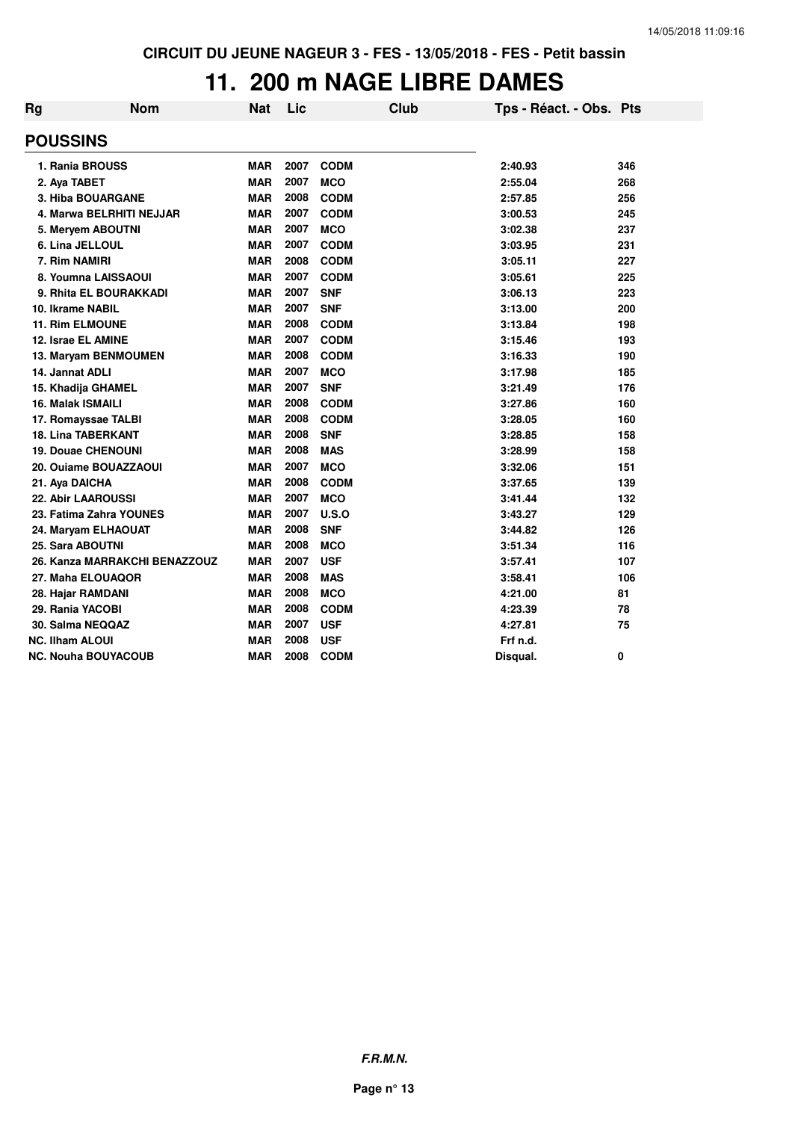### **11. 200 m NAGE LIBRE DAMES**

| Rg                       | <b>Nom</b>                    | <b>Nat</b> | Lic  |             | Club | Tps - Réact. - Obs. Pts |     |
|--------------------------|-------------------------------|------------|------|-------------|------|-------------------------|-----|
| <b>POUSSINS</b>          |                               |            |      |             |      |                         |     |
|                          | 1. Rania BROUSS               | <b>MAR</b> | 2007 | <b>CODM</b> |      | 2:40.93                 | 346 |
| 2. Aya TABET             |                               | <b>MAR</b> | 2007 | <b>MCO</b>  |      | 2:55.04                 | 268 |
|                          | <b>3. Hiba BOUARGANE</b>      | <b>MAR</b> | 2008 | <b>CODM</b> |      | 2:57.85                 | 256 |
|                          | 4. Marwa BELRHITI NEJJAR      | <b>MAR</b> | 2007 | <b>CODM</b> |      | 3:00.53                 | 245 |
|                          | 5. Meryem ABOUTNI             | <b>MAR</b> | 2007 | <b>MCO</b>  |      | 3:02.38                 | 237 |
|                          | 6. Lina JELLOUL               | <b>MAR</b> | 2007 | <b>CODM</b> |      | 3:03.95                 | 231 |
| 7. Rim NAMIRI            |                               | <b>MAR</b> | 2008 | <b>CODM</b> |      | 3:05.11                 | 227 |
|                          | 8. Youmna LAISSAOUI           | <b>MAR</b> | 2007 | <b>CODM</b> |      | 3:05.61                 | 225 |
|                          | 9. Rhita EL BOURAKKADI        | <b>MAR</b> | 2007 | <b>SNF</b>  |      | 3:06.13                 | 223 |
| 10. Ikrame NABIL         |                               | <b>MAR</b> | 2007 | <b>SNF</b>  |      | 3:13.00                 | 200 |
|                          | <b>11. Rim ELMOUNE</b>        | <b>MAR</b> | 2008 | <b>CODM</b> |      | 3:13.84                 | 198 |
|                          | 12. Israe EL AMINE            | <b>MAR</b> | 2007 | <b>CODM</b> |      | 3:15.46                 | 193 |
|                          | 13. Maryam BENMOUMEN          | <b>MAR</b> | 2008 | <b>CODM</b> |      | 3:16.33                 | 190 |
| 14. Jannat ADLI          |                               | <b>MAR</b> | 2007 | <b>MCO</b>  |      | 3:17.98                 | 185 |
|                          | 15. Khadija GHAMEL            | <b>MAR</b> | 2007 | <b>SNF</b>  |      | 3:21.49                 | 176 |
| <b>16. Malak ISMAILI</b> |                               | <b>MAR</b> | 2008 | <b>CODM</b> |      | 3:27.86                 | 160 |
|                          | 17. Romayssae TALBI           | <b>MAR</b> | 2008 | <b>CODM</b> |      | 3:28.05                 | 160 |
|                          | <b>18. Lina TABERKANT</b>     | <b>MAR</b> | 2008 | <b>SNF</b>  |      | 3:28.85                 | 158 |
|                          | <b>19. Douae CHENOUNI</b>     | <b>MAR</b> | 2008 | <b>MAS</b>  |      | 3:28.99                 | 158 |
|                          | 20. Ouiame BOUAZZAOUI         | <b>MAR</b> | 2007 | <b>MCO</b>  |      | 3:32.06                 | 151 |
| 21. Aya DAICHA           |                               | <b>MAR</b> | 2008 | <b>CODM</b> |      | 3:37.65                 | 139 |
|                          | <b>22. Abir LAAROUSSI</b>     | <b>MAR</b> | 2007 | <b>MCO</b>  |      | 3:41.44                 | 132 |
|                          | 23. Fatima Zahra YOUNES       | <b>MAR</b> | 2007 | U.S.O       |      | 3:43.27                 | 129 |
|                          | 24. Maryam ELHAOUAT           | <b>MAR</b> | 2008 | <b>SNF</b>  |      | 3:44.82                 | 126 |
| 25. Sara ABOUTNI         |                               | <b>MAR</b> | 2008 | <b>MCO</b>  |      | 3:51.34                 | 116 |
|                          | 26. Kanza MARRAKCHI BENAZZOUZ | <b>MAR</b> | 2007 | <b>USF</b>  |      | 3:57.41                 | 107 |
|                          | 27. Maha ELOUAQOR             | <b>MAR</b> | 2008 | <b>MAS</b>  |      | 3:58.41                 | 106 |
|                          | 28. Hajar RAMDANI             | <b>MAR</b> | 2008 | <b>MCO</b>  |      | 4:21.00                 | 81  |
| 29. Rania YACOBI         |                               | <b>MAR</b> | 2008 | <b>CODM</b> |      | 4:23.39                 | 78  |
|                          | 30. Salma NEQQAZ              | <b>MAR</b> | 2007 | <b>USF</b>  |      | 4:27.81                 | 75  |
| <b>NC. Ilham ALOUI</b>   |                               | <b>MAR</b> | 2008 | <b>USF</b>  |      | Frf n.d.                |     |
|                          | <b>NC. Nouha BOUYACOUB</b>    | <b>MAR</b> | 2008 | <b>CODM</b> |      | Disqual.                | 0   |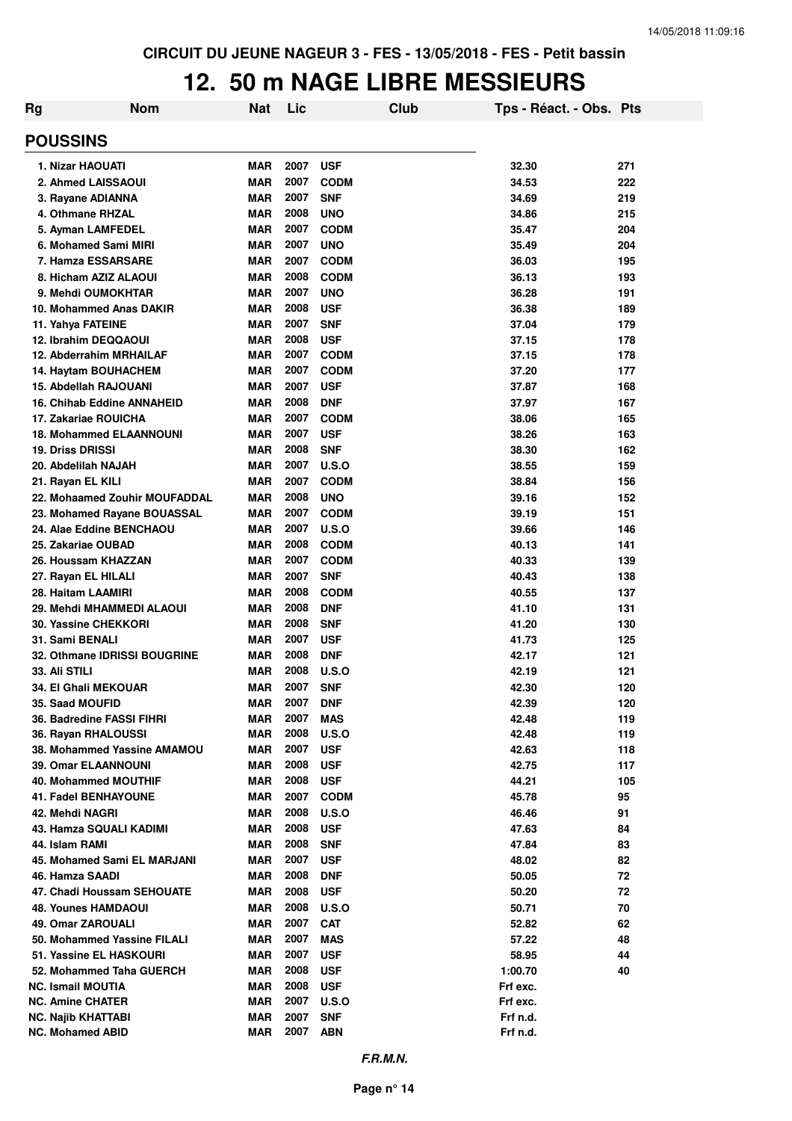### **12. 50 m NAGE LIBRE MESSIEURS**

| <b>POUSSINS</b><br>2007<br>1. Nizar HAOUATI<br><b>MAR</b><br><b>USF</b><br>32.30<br>271<br>2007<br>34.53<br>222<br>2. Ahmed LAISSAOUI<br><b>MAR</b><br><b>CODM</b><br>2007<br>34.69<br>3. Rayane ADIANNA<br><b>MAR</b><br><b>SNF</b><br>219<br>2008<br>4. Othmane RHZAL<br><b>MAR</b><br><b>UNO</b><br>34.86<br>215<br>2007<br><b>CODM</b><br>204<br>5. Ayman LAMFEDEL<br><b>MAR</b><br>35.47<br>2007<br>6. Mohamed Sami MIRI<br><b>MAR</b><br><b>UNO</b><br>35.49<br>204<br>2007<br><b>CODM</b><br>36.03<br>7. Hamza ESSARSARE<br><b>MAR</b><br>195<br>8. Hicham AZIZ ALAOUI<br>2008<br><b>CODM</b><br>36.13<br><b>MAR</b><br>193<br>2007<br>9. Mehdi OUMOKHTAR<br><b>MAR</b><br><b>UNO</b><br>36.28<br>191<br>2008<br><b>USF</b><br>36.38<br>10. Mohammed Anas DAKIR<br><b>MAR</b><br>189<br>2007<br>37.04<br>11. Yahya FATEINE<br><b>MAR</b><br><b>SNF</b><br>179<br>12. Ibrahim DEQQAOUI<br>2008<br><b>USF</b><br><b>MAR</b><br>37.15<br>178<br>2007<br><b>CODM</b><br>12. Abderrahim MRHAILAF<br><b>MAR</b><br>37.15<br>178<br>2007<br><b>CODM</b><br><b>MAR</b><br>37.20<br>177<br>14. Haytam BOUHACHEM<br><b>MAR</b><br>2007<br><b>USF</b><br>15. Abdellah RAJOUANI<br>37.87<br>168<br>2008<br><b>MAR</b><br><b>DNF</b><br>167<br><b>16. Chihab Eddine ANNAHEID</b><br>37.97<br>2007<br><b>CODM</b><br>17. Zakariae ROUICHA<br><b>MAR</b><br>38.06<br>165<br>2007<br><b>USF</b><br>38.26<br>163<br><b>18. Mohammed ELAANNOUNI</b><br><b>MAR</b><br>2008<br><b>19. Driss DRISSI</b><br><b>SNF</b><br>38.30<br>162<br><b>MAR</b><br>2007<br>20. Abdelilah NAJAH<br><b>MAR</b><br>U.S.O<br>38.55<br>159<br>2007<br>21. Rayan EL KILI<br><b>MAR</b><br><b>CODM</b><br>38.84<br>156<br>2008<br><b>UNO</b><br>22. Mohaamed Zouhir MOUFADDAL<br><b>MAR</b><br>39.16<br>152<br>2007<br><b>MAR</b><br><b>CODM</b><br>39.19<br>151<br>23. Mohamed Rayane BOUASSAL<br>2007<br>24. Alae Eddine BENCHAOU<br><b>MAR</b><br>U.S.O<br>39.66<br>146<br>2008<br><b>MAR</b><br><b>CODM</b><br>40.13<br>141<br>25. Zakariae OUBAD<br>2007<br><b>CODM</b><br>26. Houssam KHAZZAN<br><b>MAR</b><br>40.33<br>139<br>2007<br><b>MAR</b><br><b>SNF</b><br>40.43<br>138<br>27. Rayan EL HILALI<br>2008<br><b>CODM</b><br>137<br>28. Haitam LAAMIRI<br><b>MAR</b><br>40.55<br>2008<br><b>DNF</b><br>29. Mehdi MHAMMEDI ALAOUI<br><b>MAR</b><br>41.10<br>131<br>2008<br><b>30. Yassine CHEKKORI</b><br><b>MAR</b><br><b>SNF</b><br>41.20<br>130<br>2007<br>31. Sami BENALI<br><b>MAR</b><br><b>USF</b><br>41.73<br>125<br>2008<br>32. Othmane IDRISSI BOUGRINE<br><b>MAR</b><br><b>DNF</b><br>42.17<br>121<br>2008<br>33. Ali STILI<br>U.S.O<br>42.19<br>121<br>MAR<br>2007<br><b>MAR</b><br><b>SNF</b><br>42.30<br>120<br>34. El Ghali MEKOUAR<br>2007<br><b>35. Saad MOUFID</b><br><b>DNF</b><br>42.39<br>120<br><b>MAR</b><br>2007<br><b>MAS</b><br>42.48<br>119<br>36. Badredine FASSI FIHRI<br>MAR<br><b>MAR</b><br>2008<br><b>U.S.O</b><br>42.48<br>119<br>36. Rayan RHALOUSSI<br>38. Mohammed Yassine AMAMOU<br><b>MAR</b><br>2007<br><b>USF</b><br>42.63<br>118<br>2008<br><b>39. Omar ELAANNOUNI</b><br><b>MAR</b><br><b>USF</b><br>42.75<br>117<br><b>40. Mohammed MOUTHIF</b><br><b>MAR</b><br>2008<br><b>USF</b><br>44.21<br>105<br><b>41. Fadel BENHAYOUNE</b><br><b>MAR</b><br>2007<br><b>CODM</b><br>45.78<br>95<br>2008<br>42. Mehdi NAGRI<br><b>MAR</b><br><b>U.S.O</b><br>46.46<br>91<br>2008<br><b>USF</b><br>47.63<br>43. Hamza SQUALI KADIMI<br>MAR<br>84<br>44. Islam RAMI<br>2008<br>47.84<br>83<br>MAR<br><b>SNF</b><br>2007<br>45. Mohamed Sami EL MARJANI<br><b>USF</b><br>48.02<br>82<br>MAR<br>2008<br>72<br>46. Hamza SAADI<br>MAR<br><b>DNF</b><br>50.05<br>47. Chadi Houssam SEHOUATE<br>2008<br><b>USF</b><br>50.20<br>72<br>MAR<br><b>48. Younes HAMDAOUI</b><br>2008<br>50.71<br>70<br>MAR<br>U.S.O<br>49. Omar ZAROUALI<br><b>MAR</b><br>2007<br><b>CAT</b><br>52.82<br>62<br>50. Mohammed Yassine FILALI<br><b>MAR</b><br>2007<br>57.22<br>48<br>MAS<br>51. Yassine EL HASKOURI<br>2007<br><b>USF</b><br>58.95<br>44<br>MAR<br>2008<br>52. Mohammed Taha GUERCH<br><b>MAR</b><br><b>USF</b><br>1:00.70<br>40<br><b>NC. Ismail MOUTIA</b><br><b>MAR</b><br>2008<br><b>USF</b><br>Frf exc.<br>2007<br><b>NC. Amine CHATER</b><br>MAR<br>U.S.O<br>Frf exc. | <b>Rg</b> | <b>Nom</b> | <b>Nat</b> | Lic  | Club       | Tps - Réact. - Obs. Pts |  |  |
|------------------------------------------------------------------------------------------------------------------------------------------------------------------------------------------------------------------------------------------------------------------------------------------------------------------------------------------------------------------------------------------------------------------------------------------------------------------------------------------------------------------------------------------------------------------------------------------------------------------------------------------------------------------------------------------------------------------------------------------------------------------------------------------------------------------------------------------------------------------------------------------------------------------------------------------------------------------------------------------------------------------------------------------------------------------------------------------------------------------------------------------------------------------------------------------------------------------------------------------------------------------------------------------------------------------------------------------------------------------------------------------------------------------------------------------------------------------------------------------------------------------------------------------------------------------------------------------------------------------------------------------------------------------------------------------------------------------------------------------------------------------------------------------------------------------------------------------------------------------------------------------------------------------------------------------------------------------------------------------------------------------------------------------------------------------------------------------------------------------------------------------------------------------------------------------------------------------------------------------------------------------------------------------------------------------------------------------------------------------------------------------------------------------------------------------------------------------------------------------------------------------------------------------------------------------------------------------------------------------------------------------------------------------------------------------------------------------------------------------------------------------------------------------------------------------------------------------------------------------------------------------------------------------------------------------------------------------------------------------------------------------------------------------------------------------------------------------------------------------------------------------------------------------------------------------------------------------------------------------------------------------------------------------------------------------------------------------------------------------------------------------------------------------------------------------------------------------------------------------------------------------------------------------------------------------------------------------------------------------------------------------------------------------------------------------------------------------------------------------------------------------------------------------------------------------------------------------------------------------------------------------------------------------------------------------------------------------------------------------------------------------------------------------------------------------------------------------------------------------------------------------------------------------------------------------------------------------------------------------------------------------------|-----------|------------|------------|------|------------|-------------------------|--|--|
|                                                                                                                                                                                                                                                                                                                                                                                                                                                                                                                                                                                                                                                                                                                                                                                                                                                                                                                                                                                                                                                                                                                                                                                                                                                                                                                                                                                                                                                                                                                                                                                                                                                                                                                                                                                                                                                                                                                                                                                                                                                                                                                                                                                                                                                                                                                                                                                                                                                                                                                                                                                                                                                                                                                                                                                                                                                                                                                                                                                                                                                                                                                                                                                                                                                                                                                                                                                                                                                                                                                                                                                                                                                                                                                                                                                                                                                                                                                                                                                                                                                                                                                                                                                                                                                                        |           |            |            |      |            |                         |  |  |
|                                                                                                                                                                                                                                                                                                                                                                                                                                                                                                                                                                                                                                                                                                                                                                                                                                                                                                                                                                                                                                                                                                                                                                                                                                                                                                                                                                                                                                                                                                                                                                                                                                                                                                                                                                                                                                                                                                                                                                                                                                                                                                                                                                                                                                                                                                                                                                                                                                                                                                                                                                                                                                                                                                                                                                                                                                                                                                                                                                                                                                                                                                                                                                                                                                                                                                                                                                                                                                                                                                                                                                                                                                                                                                                                                                                                                                                                                                                                                                                                                                                                                                                                                                                                                                                                        |           |            |            |      |            |                         |  |  |
|                                                                                                                                                                                                                                                                                                                                                                                                                                                                                                                                                                                                                                                                                                                                                                                                                                                                                                                                                                                                                                                                                                                                                                                                                                                                                                                                                                                                                                                                                                                                                                                                                                                                                                                                                                                                                                                                                                                                                                                                                                                                                                                                                                                                                                                                                                                                                                                                                                                                                                                                                                                                                                                                                                                                                                                                                                                                                                                                                                                                                                                                                                                                                                                                                                                                                                                                                                                                                                                                                                                                                                                                                                                                                                                                                                                                                                                                                                                                                                                                                                                                                                                                                                                                                                                                        |           |            |            |      |            |                         |  |  |
|                                                                                                                                                                                                                                                                                                                                                                                                                                                                                                                                                                                                                                                                                                                                                                                                                                                                                                                                                                                                                                                                                                                                                                                                                                                                                                                                                                                                                                                                                                                                                                                                                                                                                                                                                                                                                                                                                                                                                                                                                                                                                                                                                                                                                                                                                                                                                                                                                                                                                                                                                                                                                                                                                                                                                                                                                                                                                                                                                                                                                                                                                                                                                                                                                                                                                                                                                                                                                                                                                                                                                                                                                                                                                                                                                                                                                                                                                                                                                                                                                                                                                                                                                                                                                                                                        |           |            |            |      |            |                         |  |  |
|                                                                                                                                                                                                                                                                                                                                                                                                                                                                                                                                                                                                                                                                                                                                                                                                                                                                                                                                                                                                                                                                                                                                                                                                                                                                                                                                                                                                                                                                                                                                                                                                                                                                                                                                                                                                                                                                                                                                                                                                                                                                                                                                                                                                                                                                                                                                                                                                                                                                                                                                                                                                                                                                                                                                                                                                                                                                                                                                                                                                                                                                                                                                                                                                                                                                                                                                                                                                                                                                                                                                                                                                                                                                                                                                                                                                                                                                                                                                                                                                                                                                                                                                                                                                                                                                        |           |            |            |      |            |                         |  |  |
|                                                                                                                                                                                                                                                                                                                                                                                                                                                                                                                                                                                                                                                                                                                                                                                                                                                                                                                                                                                                                                                                                                                                                                                                                                                                                                                                                                                                                                                                                                                                                                                                                                                                                                                                                                                                                                                                                                                                                                                                                                                                                                                                                                                                                                                                                                                                                                                                                                                                                                                                                                                                                                                                                                                                                                                                                                                                                                                                                                                                                                                                                                                                                                                                                                                                                                                                                                                                                                                                                                                                                                                                                                                                                                                                                                                                                                                                                                                                                                                                                                                                                                                                                                                                                                                                        |           |            |            |      |            |                         |  |  |
|                                                                                                                                                                                                                                                                                                                                                                                                                                                                                                                                                                                                                                                                                                                                                                                                                                                                                                                                                                                                                                                                                                                                                                                                                                                                                                                                                                                                                                                                                                                                                                                                                                                                                                                                                                                                                                                                                                                                                                                                                                                                                                                                                                                                                                                                                                                                                                                                                                                                                                                                                                                                                                                                                                                                                                                                                                                                                                                                                                                                                                                                                                                                                                                                                                                                                                                                                                                                                                                                                                                                                                                                                                                                                                                                                                                                                                                                                                                                                                                                                                                                                                                                                                                                                                                                        |           |            |            |      |            |                         |  |  |
|                                                                                                                                                                                                                                                                                                                                                                                                                                                                                                                                                                                                                                                                                                                                                                                                                                                                                                                                                                                                                                                                                                                                                                                                                                                                                                                                                                                                                                                                                                                                                                                                                                                                                                                                                                                                                                                                                                                                                                                                                                                                                                                                                                                                                                                                                                                                                                                                                                                                                                                                                                                                                                                                                                                                                                                                                                                                                                                                                                                                                                                                                                                                                                                                                                                                                                                                                                                                                                                                                                                                                                                                                                                                                                                                                                                                                                                                                                                                                                                                                                                                                                                                                                                                                                                                        |           |            |            |      |            |                         |  |  |
|                                                                                                                                                                                                                                                                                                                                                                                                                                                                                                                                                                                                                                                                                                                                                                                                                                                                                                                                                                                                                                                                                                                                                                                                                                                                                                                                                                                                                                                                                                                                                                                                                                                                                                                                                                                                                                                                                                                                                                                                                                                                                                                                                                                                                                                                                                                                                                                                                                                                                                                                                                                                                                                                                                                                                                                                                                                                                                                                                                                                                                                                                                                                                                                                                                                                                                                                                                                                                                                                                                                                                                                                                                                                                                                                                                                                                                                                                                                                                                                                                                                                                                                                                                                                                                                                        |           |            |            |      |            |                         |  |  |
|                                                                                                                                                                                                                                                                                                                                                                                                                                                                                                                                                                                                                                                                                                                                                                                                                                                                                                                                                                                                                                                                                                                                                                                                                                                                                                                                                                                                                                                                                                                                                                                                                                                                                                                                                                                                                                                                                                                                                                                                                                                                                                                                                                                                                                                                                                                                                                                                                                                                                                                                                                                                                                                                                                                                                                                                                                                                                                                                                                                                                                                                                                                                                                                                                                                                                                                                                                                                                                                                                                                                                                                                                                                                                                                                                                                                                                                                                                                                                                                                                                                                                                                                                                                                                                                                        |           |            |            |      |            |                         |  |  |
|                                                                                                                                                                                                                                                                                                                                                                                                                                                                                                                                                                                                                                                                                                                                                                                                                                                                                                                                                                                                                                                                                                                                                                                                                                                                                                                                                                                                                                                                                                                                                                                                                                                                                                                                                                                                                                                                                                                                                                                                                                                                                                                                                                                                                                                                                                                                                                                                                                                                                                                                                                                                                                                                                                                                                                                                                                                                                                                                                                                                                                                                                                                                                                                                                                                                                                                                                                                                                                                                                                                                                                                                                                                                                                                                                                                                                                                                                                                                                                                                                                                                                                                                                                                                                                                                        |           |            |            |      |            |                         |  |  |
|                                                                                                                                                                                                                                                                                                                                                                                                                                                                                                                                                                                                                                                                                                                                                                                                                                                                                                                                                                                                                                                                                                                                                                                                                                                                                                                                                                                                                                                                                                                                                                                                                                                                                                                                                                                                                                                                                                                                                                                                                                                                                                                                                                                                                                                                                                                                                                                                                                                                                                                                                                                                                                                                                                                                                                                                                                                                                                                                                                                                                                                                                                                                                                                                                                                                                                                                                                                                                                                                                                                                                                                                                                                                                                                                                                                                                                                                                                                                                                                                                                                                                                                                                                                                                                                                        |           |            |            |      |            |                         |  |  |
|                                                                                                                                                                                                                                                                                                                                                                                                                                                                                                                                                                                                                                                                                                                                                                                                                                                                                                                                                                                                                                                                                                                                                                                                                                                                                                                                                                                                                                                                                                                                                                                                                                                                                                                                                                                                                                                                                                                                                                                                                                                                                                                                                                                                                                                                                                                                                                                                                                                                                                                                                                                                                                                                                                                                                                                                                                                                                                                                                                                                                                                                                                                                                                                                                                                                                                                                                                                                                                                                                                                                                                                                                                                                                                                                                                                                                                                                                                                                                                                                                                                                                                                                                                                                                                                                        |           |            |            |      |            |                         |  |  |
|                                                                                                                                                                                                                                                                                                                                                                                                                                                                                                                                                                                                                                                                                                                                                                                                                                                                                                                                                                                                                                                                                                                                                                                                                                                                                                                                                                                                                                                                                                                                                                                                                                                                                                                                                                                                                                                                                                                                                                                                                                                                                                                                                                                                                                                                                                                                                                                                                                                                                                                                                                                                                                                                                                                                                                                                                                                                                                                                                                                                                                                                                                                                                                                                                                                                                                                                                                                                                                                                                                                                                                                                                                                                                                                                                                                                                                                                                                                                                                                                                                                                                                                                                                                                                                                                        |           |            |            |      |            |                         |  |  |
|                                                                                                                                                                                                                                                                                                                                                                                                                                                                                                                                                                                                                                                                                                                                                                                                                                                                                                                                                                                                                                                                                                                                                                                                                                                                                                                                                                                                                                                                                                                                                                                                                                                                                                                                                                                                                                                                                                                                                                                                                                                                                                                                                                                                                                                                                                                                                                                                                                                                                                                                                                                                                                                                                                                                                                                                                                                                                                                                                                                                                                                                                                                                                                                                                                                                                                                                                                                                                                                                                                                                                                                                                                                                                                                                                                                                                                                                                                                                                                                                                                                                                                                                                                                                                                                                        |           |            |            |      |            |                         |  |  |
|                                                                                                                                                                                                                                                                                                                                                                                                                                                                                                                                                                                                                                                                                                                                                                                                                                                                                                                                                                                                                                                                                                                                                                                                                                                                                                                                                                                                                                                                                                                                                                                                                                                                                                                                                                                                                                                                                                                                                                                                                                                                                                                                                                                                                                                                                                                                                                                                                                                                                                                                                                                                                                                                                                                                                                                                                                                                                                                                                                                                                                                                                                                                                                                                                                                                                                                                                                                                                                                                                                                                                                                                                                                                                                                                                                                                                                                                                                                                                                                                                                                                                                                                                                                                                                                                        |           |            |            |      |            |                         |  |  |
|                                                                                                                                                                                                                                                                                                                                                                                                                                                                                                                                                                                                                                                                                                                                                                                                                                                                                                                                                                                                                                                                                                                                                                                                                                                                                                                                                                                                                                                                                                                                                                                                                                                                                                                                                                                                                                                                                                                                                                                                                                                                                                                                                                                                                                                                                                                                                                                                                                                                                                                                                                                                                                                                                                                                                                                                                                                                                                                                                                                                                                                                                                                                                                                                                                                                                                                                                                                                                                                                                                                                                                                                                                                                                                                                                                                                                                                                                                                                                                                                                                                                                                                                                                                                                                                                        |           |            |            |      |            |                         |  |  |
|                                                                                                                                                                                                                                                                                                                                                                                                                                                                                                                                                                                                                                                                                                                                                                                                                                                                                                                                                                                                                                                                                                                                                                                                                                                                                                                                                                                                                                                                                                                                                                                                                                                                                                                                                                                                                                                                                                                                                                                                                                                                                                                                                                                                                                                                                                                                                                                                                                                                                                                                                                                                                                                                                                                                                                                                                                                                                                                                                                                                                                                                                                                                                                                                                                                                                                                                                                                                                                                                                                                                                                                                                                                                                                                                                                                                                                                                                                                                                                                                                                                                                                                                                                                                                                                                        |           |            |            |      |            |                         |  |  |
|                                                                                                                                                                                                                                                                                                                                                                                                                                                                                                                                                                                                                                                                                                                                                                                                                                                                                                                                                                                                                                                                                                                                                                                                                                                                                                                                                                                                                                                                                                                                                                                                                                                                                                                                                                                                                                                                                                                                                                                                                                                                                                                                                                                                                                                                                                                                                                                                                                                                                                                                                                                                                                                                                                                                                                                                                                                                                                                                                                                                                                                                                                                                                                                                                                                                                                                                                                                                                                                                                                                                                                                                                                                                                                                                                                                                                                                                                                                                                                                                                                                                                                                                                                                                                                                                        |           |            |            |      |            |                         |  |  |
|                                                                                                                                                                                                                                                                                                                                                                                                                                                                                                                                                                                                                                                                                                                                                                                                                                                                                                                                                                                                                                                                                                                                                                                                                                                                                                                                                                                                                                                                                                                                                                                                                                                                                                                                                                                                                                                                                                                                                                                                                                                                                                                                                                                                                                                                                                                                                                                                                                                                                                                                                                                                                                                                                                                                                                                                                                                                                                                                                                                                                                                                                                                                                                                                                                                                                                                                                                                                                                                                                                                                                                                                                                                                                                                                                                                                                                                                                                                                                                                                                                                                                                                                                                                                                                                                        |           |            |            |      |            |                         |  |  |
|                                                                                                                                                                                                                                                                                                                                                                                                                                                                                                                                                                                                                                                                                                                                                                                                                                                                                                                                                                                                                                                                                                                                                                                                                                                                                                                                                                                                                                                                                                                                                                                                                                                                                                                                                                                                                                                                                                                                                                                                                                                                                                                                                                                                                                                                                                                                                                                                                                                                                                                                                                                                                                                                                                                                                                                                                                                                                                                                                                                                                                                                                                                                                                                                                                                                                                                                                                                                                                                                                                                                                                                                                                                                                                                                                                                                                                                                                                                                                                                                                                                                                                                                                                                                                                                                        |           |            |            |      |            |                         |  |  |
|                                                                                                                                                                                                                                                                                                                                                                                                                                                                                                                                                                                                                                                                                                                                                                                                                                                                                                                                                                                                                                                                                                                                                                                                                                                                                                                                                                                                                                                                                                                                                                                                                                                                                                                                                                                                                                                                                                                                                                                                                                                                                                                                                                                                                                                                                                                                                                                                                                                                                                                                                                                                                                                                                                                                                                                                                                                                                                                                                                                                                                                                                                                                                                                                                                                                                                                                                                                                                                                                                                                                                                                                                                                                                                                                                                                                                                                                                                                                                                                                                                                                                                                                                                                                                                                                        |           |            |            |      |            |                         |  |  |
|                                                                                                                                                                                                                                                                                                                                                                                                                                                                                                                                                                                                                                                                                                                                                                                                                                                                                                                                                                                                                                                                                                                                                                                                                                                                                                                                                                                                                                                                                                                                                                                                                                                                                                                                                                                                                                                                                                                                                                                                                                                                                                                                                                                                                                                                                                                                                                                                                                                                                                                                                                                                                                                                                                                                                                                                                                                                                                                                                                                                                                                                                                                                                                                                                                                                                                                                                                                                                                                                                                                                                                                                                                                                                                                                                                                                                                                                                                                                                                                                                                                                                                                                                                                                                                                                        |           |            |            |      |            |                         |  |  |
|                                                                                                                                                                                                                                                                                                                                                                                                                                                                                                                                                                                                                                                                                                                                                                                                                                                                                                                                                                                                                                                                                                                                                                                                                                                                                                                                                                                                                                                                                                                                                                                                                                                                                                                                                                                                                                                                                                                                                                                                                                                                                                                                                                                                                                                                                                                                                                                                                                                                                                                                                                                                                                                                                                                                                                                                                                                                                                                                                                                                                                                                                                                                                                                                                                                                                                                                                                                                                                                                                                                                                                                                                                                                                                                                                                                                                                                                                                                                                                                                                                                                                                                                                                                                                                                                        |           |            |            |      |            |                         |  |  |
|                                                                                                                                                                                                                                                                                                                                                                                                                                                                                                                                                                                                                                                                                                                                                                                                                                                                                                                                                                                                                                                                                                                                                                                                                                                                                                                                                                                                                                                                                                                                                                                                                                                                                                                                                                                                                                                                                                                                                                                                                                                                                                                                                                                                                                                                                                                                                                                                                                                                                                                                                                                                                                                                                                                                                                                                                                                                                                                                                                                                                                                                                                                                                                                                                                                                                                                                                                                                                                                                                                                                                                                                                                                                                                                                                                                                                                                                                                                                                                                                                                                                                                                                                                                                                                                                        |           |            |            |      |            |                         |  |  |
|                                                                                                                                                                                                                                                                                                                                                                                                                                                                                                                                                                                                                                                                                                                                                                                                                                                                                                                                                                                                                                                                                                                                                                                                                                                                                                                                                                                                                                                                                                                                                                                                                                                                                                                                                                                                                                                                                                                                                                                                                                                                                                                                                                                                                                                                                                                                                                                                                                                                                                                                                                                                                                                                                                                                                                                                                                                                                                                                                                                                                                                                                                                                                                                                                                                                                                                                                                                                                                                                                                                                                                                                                                                                                                                                                                                                                                                                                                                                                                                                                                                                                                                                                                                                                                                                        |           |            |            |      |            |                         |  |  |
|                                                                                                                                                                                                                                                                                                                                                                                                                                                                                                                                                                                                                                                                                                                                                                                                                                                                                                                                                                                                                                                                                                                                                                                                                                                                                                                                                                                                                                                                                                                                                                                                                                                                                                                                                                                                                                                                                                                                                                                                                                                                                                                                                                                                                                                                                                                                                                                                                                                                                                                                                                                                                                                                                                                                                                                                                                                                                                                                                                                                                                                                                                                                                                                                                                                                                                                                                                                                                                                                                                                                                                                                                                                                                                                                                                                                                                                                                                                                                                                                                                                                                                                                                                                                                                                                        |           |            |            |      |            |                         |  |  |
|                                                                                                                                                                                                                                                                                                                                                                                                                                                                                                                                                                                                                                                                                                                                                                                                                                                                                                                                                                                                                                                                                                                                                                                                                                                                                                                                                                                                                                                                                                                                                                                                                                                                                                                                                                                                                                                                                                                                                                                                                                                                                                                                                                                                                                                                                                                                                                                                                                                                                                                                                                                                                                                                                                                                                                                                                                                                                                                                                                                                                                                                                                                                                                                                                                                                                                                                                                                                                                                                                                                                                                                                                                                                                                                                                                                                                                                                                                                                                                                                                                                                                                                                                                                                                                                                        |           |            |            |      |            |                         |  |  |
|                                                                                                                                                                                                                                                                                                                                                                                                                                                                                                                                                                                                                                                                                                                                                                                                                                                                                                                                                                                                                                                                                                                                                                                                                                                                                                                                                                                                                                                                                                                                                                                                                                                                                                                                                                                                                                                                                                                                                                                                                                                                                                                                                                                                                                                                                                                                                                                                                                                                                                                                                                                                                                                                                                                                                                                                                                                                                                                                                                                                                                                                                                                                                                                                                                                                                                                                                                                                                                                                                                                                                                                                                                                                                                                                                                                                                                                                                                                                                                                                                                                                                                                                                                                                                                                                        |           |            |            |      |            |                         |  |  |
|                                                                                                                                                                                                                                                                                                                                                                                                                                                                                                                                                                                                                                                                                                                                                                                                                                                                                                                                                                                                                                                                                                                                                                                                                                                                                                                                                                                                                                                                                                                                                                                                                                                                                                                                                                                                                                                                                                                                                                                                                                                                                                                                                                                                                                                                                                                                                                                                                                                                                                                                                                                                                                                                                                                                                                                                                                                                                                                                                                                                                                                                                                                                                                                                                                                                                                                                                                                                                                                                                                                                                                                                                                                                                                                                                                                                                                                                                                                                                                                                                                                                                                                                                                                                                                                                        |           |            |            |      |            |                         |  |  |
|                                                                                                                                                                                                                                                                                                                                                                                                                                                                                                                                                                                                                                                                                                                                                                                                                                                                                                                                                                                                                                                                                                                                                                                                                                                                                                                                                                                                                                                                                                                                                                                                                                                                                                                                                                                                                                                                                                                                                                                                                                                                                                                                                                                                                                                                                                                                                                                                                                                                                                                                                                                                                                                                                                                                                                                                                                                                                                                                                                                                                                                                                                                                                                                                                                                                                                                                                                                                                                                                                                                                                                                                                                                                                                                                                                                                                                                                                                                                                                                                                                                                                                                                                                                                                                                                        |           |            |            |      |            |                         |  |  |
|                                                                                                                                                                                                                                                                                                                                                                                                                                                                                                                                                                                                                                                                                                                                                                                                                                                                                                                                                                                                                                                                                                                                                                                                                                                                                                                                                                                                                                                                                                                                                                                                                                                                                                                                                                                                                                                                                                                                                                                                                                                                                                                                                                                                                                                                                                                                                                                                                                                                                                                                                                                                                                                                                                                                                                                                                                                                                                                                                                                                                                                                                                                                                                                                                                                                                                                                                                                                                                                                                                                                                                                                                                                                                                                                                                                                                                                                                                                                                                                                                                                                                                                                                                                                                                                                        |           |            |            |      |            |                         |  |  |
|                                                                                                                                                                                                                                                                                                                                                                                                                                                                                                                                                                                                                                                                                                                                                                                                                                                                                                                                                                                                                                                                                                                                                                                                                                                                                                                                                                                                                                                                                                                                                                                                                                                                                                                                                                                                                                                                                                                                                                                                                                                                                                                                                                                                                                                                                                                                                                                                                                                                                                                                                                                                                                                                                                                                                                                                                                                                                                                                                                                                                                                                                                                                                                                                                                                                                                                                                                                                                                                                                                                                                                                                                                                                                                                                                                                                                                                                                                                                                                                                                                                                                                                                                                                                                                                                        |           |            |            |      |            |                         |  |  |
|                                                                                                                                                                                                                                                                                                                                                                                                                                                                                                                                                                                                                                                                                                                                                                                                                                                                                                                                                                                                                                                                                                                                                                                                                                                                                                                                                                                                                                                                                                                                                                                                                                                                                                                                                                                                                                                                                                                                                                                                                                                                                                                                                                                                                                                                                                                                                                                                                                                                                                                                                                                                                                                                                                                                                                                                                                                                                                                                                                                                                                                                                                                                                                                                                                                                                                                                                                                                                                                                                                                                                                                                                                                                                                                                                                                                                                                                                                                                                                                                                                                                                                                                                                                                                                                                        |           |            |            |      |            |                         |  |  |
|                                                                                                                                                                                                                                                                                                                                                                                                                                                                                                                                                                                                                                                                                                                                                                                                                                                                                                                                                                                                                                                                                                                                                                                                                                                                                                                                                                                                                                                                                                                                                                                                                                                                                                                                                                                                                                                                                                                                                                                                                                                                                                                                                                                                                                                                                                                                                                                                                                                                                                                                                                                                                                                                                                                                                                                                                                                                                                                                                                                                                                                                                                                                                                                                                                                                                                                                                                                                                                                                                                                                                                                                                                                                                                                                                                                                                                                                                                                                                                                                                                                                                                                                                                                                                                                                        |           |            |            |      |            |                         |  |  |
|                                                                                                                                                                                                                                                                                                                                                                                                                                                                                                                                                                                                                                                                                                                                                                                                                                                                                                                                                                                                                                                                                                                                                                                                                                                                                                                                                                                                                                                                                                                                                                                                                                                                                                                                                                                                                                                                                                                                                                                                                                                                                                                                                                                                                                                                                                                                                                                                                                                                                                                                                                                                                                                                                                                                                                                                                                                                                                                                                                                                                                                                                                                                                                                                                                                                                                                                                                                                                                                                                                                                                                                                                                                                                                                                                                                                                                                                                                                                                                                                                                                                                                                                                                                                                                                                        |           |            |            |      |            |                         |  |  |
|                                                                                                                                                                                                                                                                                                                                                                                                                                                                                                                                                                                                                                                                                                                                                                                                                                                                                                                                                                                                                                                                                                                                                                                                                                                                                                                                                                                                                                                                                                                                                                                                                                                                                                                                                                                                                                                                                                                                                                                                                                                                                                                                                                                                                                                                                                                                                                                                                                                                                                                                                                                                                                                                                                                                                                                                                                                                                                                                                                                                                                                                                                                                                                                                                                                                                                                                                                                                                                                                                                                                                                                                                                                                                                                                                                                                                                                                                                                                                                                                                                                                                                                                                                                                                                                                        |           |            |            |      |            |                         |  |  |
|                                                                                                                                                                                                                                                                                                                                                                                                                                                                                                                                                                                                                                                                                                                                                                                                                                                                                                                                                                                                                                                                                                                                                                                                                                                                                                                                                                                                                                                                                                                                                                                                                                                                                                                                                                                                                                                                                                                                                                                                                                                                                                                                                                                                                                                                                                                                                                                                                                                                                                                                                                                                                                                                                                                                                                                                                                                                                                                                                                                                                                                                                                                                                                                                                                                                                                                                                                                                                                                                                                                                                                                                                                                                                                                                                                                                                                                                                                                                                                                                                                                                                                                                                                                                                                                                        |           |            |            |      |            |                         |  |  |
|                                                                                                                                                                                                                                                                                                                                                                                                                                                                                                                                                                                                                                                                                                                                                                                                                                                                                                                                                                                                                                                                                                                                                                                                                                                                                                                                                                                                                                                                                                                                                                                                                                                                                                                                                                                                                                                                                                                                                                                                                                                                                                                                                                                                                                                                                                                                                                                                                                                                                                                                                                                                                                                                                                                                                                                                                                                                                                                                                                                                                                                                                                                                                                                                                                                                                                                                                                                                                                                                                                                                                                                                                                                                                                                                                                                                                                                                                                                                                                                                                                                                                                                                                                                                                                                                        |           |            |            |      |            |                         |  |  |
|                                                                                                                                                                                                                                                                                                                                                                                                                                                                                                                                                                                                                                                                                                                                                                                                                                                                                                                                                                                                                                                                                                                                                                                                                                                                                                                                                                                                                                                                                                                                                                                                                                                                                                                                                                                                                                                                                                                                                                                                                                                                                                                                                                                                                                                                                                                                                                                                                                                                                                                                                                                                                                                                                                                                                                                                                                                                                                                                                                                                                                                                                                                                                                                                                                                                                                                                                                                                                                                                                                                                                                                                                                                                                                                                                                                                                                                                                                                                                                                                                                                                                                                                                                                                                                                                        |           |            |            |      |            |                         |  |  |
|                                                                                                                                                                                                                                                                                                                                                                                                                                                                                                                                                                                                                                                                                                                                                                                                                                                                                                                                                                                                                                                                                                                                                                                                                                                                                                                                                                                                                                                                                                                                                                                                                                                                                                                                                                                                                                                                                                                                                                                                                                                                                                                                                                                                                                                                                                                                                                                                                                                                                                                                                                                                                                                                                                                                                                                                                                                                                                                                                                                                                                                                                                                                                                                                                                                                                                                                                                                                                                                                                                                                                                                                                                                                                                                                                                                                                                                                                                                                                                                                                                                                                                                                                                                                                                                                        |           |            |            |      |            |                         |  |  |
|                                                                                                                                                                                                                                                                                                                                                                                                                                                                                                                                                                                                                                                                                                                                                                                                                                                                                                                                                                                                                                                                                                                                                                                                                                                                                                                                                                                                                                                                                                                                                                                                                                                                                                                                                                                                                                                                                                                                                                                                                                                                                                                                                                                                                                                                                                                                                                                                                                                                                                                                                                                                                                                                                                                                                                                                                                                                                                                                                                                                                                                                                                                                                                                                                                                                                                                                                                                                                                                                                                                                                                                                                                                                                                                                                                                                                                                                                                                                                                                                                                                                                                                                                                                                                                                                        |           |            |            |      |            |                         |  |  |
|                                                                                                                                                                                                                                                                                                                                                                                                                                                                                                                                                                                                                                                                                                                                                                                                                                                                                                                                                                                                                                                                                                                                                                                                                                                                                                                                                                                                                                                                                                                                                                                                                                                                                                                                                                                                                                                                                                                                                                                                                                                                                                                                                                                                                                                                                                                                                                                                                                                                                                                                                                                                                                                                                                                                                                                                                                                                                                                                                                                                                                                                                                                                                                                                                                                                                                                                                                                                                                                                                                                                                                                                                                                                                                                                                                                                                                                                                                                                                                                                                                                                                                                                                                                                                                                                        |           |            |            |      |            |                         |  |  |
|                                                                                                                                                                                                                                                                                                                                                                                                                                                                                                                                                                                                                                                                                                                                                                                                                                                                                                                                                                                                                                                                                                                                                                                                                                                                                                                                                                                                                                                                                                                                                                                                                                                                                                                                                                                                                                                                                                                                                                                                                                                                                                                                                                                                                                                                                                                                                                                                                                                                                                                                                                                                                                                                                                                                                                                                                                                                                                                                                                                                                                                                                                                                                                                                                                                                                                                                                                                                                                                                                                                                                                                                                                                                                                                                                                                                                                                                                                                                                                                                                                                                                                                                                                                                                                                                        |           |            |            |      |            |                         |  |  |
|                                                                                                                                                                                                                                                                                                                                                                                                                                                                                                                                                                                                                                                                                                                                                                                                                                                                                                                                                                                                                                                                                                                                                                                                                                                                                                                                                                                                                                                                                                                                                                                                                                                                                                                                                                                                                                                                                                                                                                                                                                                                                                                                                                                                                                                                                                                                                                                                                                                                                                                                                                                                                                                                                                                                                                                                                                                                                                                                                                                                                                                                                                                                                                                                                                                                                                                                                                                                                                                                                                                                                                                                                                                                                                                                                                                                                                                                                                                                                                                                                                                                                                                                                                                                                                                                        |           |            |            |      |            |                         |  |  |
|                                                                                                                                                                                                                                                                                                                                                                                                                                                                                                                                                                                                                                                                                                                                                                                                                                                                                                                                                                                                                                                                                                                                                                                                                                                                                                                                                                                                                                                                                                                                                                                                                                                                                                                                                                                                                                                                                                                                                                                                                                                                                                                                                                                                                                                                                                                                                                                                                                                                                                                                                                                                                                                                                                                                                                                                                                                                                                                                                                                                                                                                                                                                                                                                                                                                                                                                                                                                                                                                                                                                                                                                                                                                                                                                                                                                                                                                                                                                                                                                                                                                                                                                                                                                                                                                        |           |            |            |      |            |                         |  |  |
|                                                                                                                                                                                                                                                                                                                                                                                                                                                                                                                                                                                                                                                                                                                                                                                                                                                                                                                                                                                                                                                                                                                                                                                                                                                                                                                                                                                                                                                                                                                                                                                                                                                                                                                                                                                                                                                                                                                                                                                                                                                                                                                                                                                                                                                                                                                                                                                                                                                                                                                                                                                                                                                                                                                                                                                                                                                                                                                                                                                                                                                                                                                                                                                                                                                                                                                                                                                                                                                                                                                                                                                                                                                                                                                                                                                                                                                                                                                                                                                                                                                                                                                                                                                                                                                                        |           |            |            |      |            |                         |  |  |
|                                                                                                                                                                                                                                                                                                                                                                                                                                                                                                                                                                                                                                                                                                                                                                                                                                                                                                                                                                                                                                                                                                                                                                                                                                                                                                                                                                                                                                                                                                                                                                                                                                                                                                                                                                                                                                                                                                                                                                                                                                                                                                                                                                                                                                                                                                                                                                                                                                                                                                                                                                                                                                                                                                                                                                                                                                                                                                                                                                                                                                                                                                                                                                                                                                                                                                                                                                                                                                                                                                                                                                                                                                                                                                                                                                                                                                                                                                                                                                                                                                                                                                                                                                                                                                                                        |           |            |            |      |            |                         |  |  |
|                                                                                                                                                                                                                                                                                                                                                                                                                                                                                                                                                                                                                                                                                                                                                                                                                                                                                                                                                                                                                                                                                                                                                                                                                                                                                                                                                                                                                                                                                                                                                                                                                                                                                                                                                                                                                                                                                                                                                                                                                                                                                                                                                                                                                                                                                                                                                                                                                                                                                                                                                                                                                                                                                                                                                                                                                                                                                                                                                                                                                                                                                                                                                                                                                                                                                                                                                                                                                                                                                                                                                                                                                                                                                                                                                                                                                                                                                                                                                                                                                                                                                                                                                                                                                                                                        |           |            |            |      |            |                         |  |  |
|                                                                                                                                                                                                                                                                                                                                                                                                                                                                                                                                                                                                                                                                                                                                                                                                                                                                                                                                                                                                                                                                                                                                                                                                                                                                                                                                                                                                                                                                                                                                                                                                                                                                                                                                                                                                                                                                                                                                                                                                                                                                                                                                                                                                                                                                                                                                                                                                                                                                                                                                                                                                                                                                                                                                                                                                                                                                                                                                                                                                                                                                                                                                                                                                                                                                                                                                                                                                                                                                                                                                                                                                                                                                                                                                                                                                                                                                                                                                                                                                                                                                                                                                                                                                                                                                        |           |            |            |      |            |                         |  |  |
|                                                                                                                                                                                                                                                                                                                                                                                                                                                                                                                                                                                                                                                                                                                                                                                                                                                                                                                                                                                                                                                                                                                                                                                                                                                                                                                                                                                                                                                                                                                                                                                                                                                                                                                                                                                                                                                                                                                                                                                                                                                                                                                                                                                                                                                                                                                                                                                                                                                                                                                                                                                                                                                                                                                                                                                                                                                                                                                                                                                                                                                                                                                                                                                                                                                                                                                                                                                                                                                                                                                                                                                                                                                                                                                                                                                                                                                                                                                                                                                                                                                                                                                                                                                                                                                                        |           |            |            |      |            |                         |  |  |
|                                                                                                                                                                                                                                                                                                                                                                                                                                                                                                                                                                                                                                                                                                                                                                                                                                                                                                                                                                                                                                                                                                                                                                                                                                                                                                                                                                                                                                                                                                                                                                                                                                                                                                                                                                                                                                                                                                                                                                                                                                                                                                                                                                                                                                                                                                                                                                                                                                                                                                                                                                                                                                                                                                                                                                                                                                                                                                                                                                                                                                                                                                                                                                                                                                                                                                                                                                                                                                                                                                                                                                                                                                                                                                                                                                                                                                                                                                                                                                                                                                                                                                                                                                                                                                                                        |           |            |            |      |            |                         |  |  |
|                                                                                                                                                                                                                                                                                                                                                                                                                                                                                                                                                                                                                                                                                                                                                                                                                                                                                                                                                                                                                                                                                                                                                                                                                                                                                                                                                                                                                                                                                                                                                                                                                                                                                                                                                                                                                                                                                                                                                                                                                                                                                                                                                                                                                                                                                                                                                                                                                                                                                                                                                                                                                                                                                                                                                                                                                                                                                                                                                                                                                                                                                                                                                                                                                                                                                                                                                                                                                                                                                                                                                                                                                                                                                                                                                                                                                                                                                                                                                                                                                                                                                                                                                                                                                                                                        |           |            |            |      |            |                         |  |  |
| <b>NC. Najib KHATTABI</b><br>Frf n.d.                                                                                                                                                                                                                                                                                                                                                                                                                                                                                                                                                                                                                                                                                                                                                                                                                                                                                                                                                                                                                                                                                                                                                                                                                                                                                                                                                                                                                                                                                                                                                                                                                                                                                                                                                                                                                                                                                                                                                                                                                                                                                                                                                                                                                                                                                                                                                                                                                                                                                                                                                                                                                                                                                                                                                                                                                                                                                                                                                                                                                                                                                                                                                                                                                                                                                                                                                                                                                                                                                                                                                                                                                                                                                                                                                                                                                                                                                                                                                                                                                                                                                                                                                                                                                                  |           |            | <b>MAR</b> | 2007 | <b>SNF</b> |                         |  |  |
| 2007<br><b>ABN</b><br>NC. Mohamed ABID<br>MAR<br>Frf n.d.                                                                                                                                                                                                                                                                                                                                                                                                                                                                                                                                                                                                                                                                                                                                                                                                                                                                                                                                                                                                                                                                                                                                                                                                                                                                                                                                                                                                                                                                                                                                                                                                                                                                                                                                                                                                                                                                                                                                                                                                                                                                                                                                                                                                                                                                                                                                                                                                                                                                                                                                                                                                                                                                                                                                                                                                                                                                                                                                                                                                                                                                                                                                                                                                                                                                                                                                                                                                                                                                                                                                                                                                                                                                                                                                                                                                                                                                                                                                                                                                                                                                                                                                                                                                              |           |            |            |      |            |                         |  |  |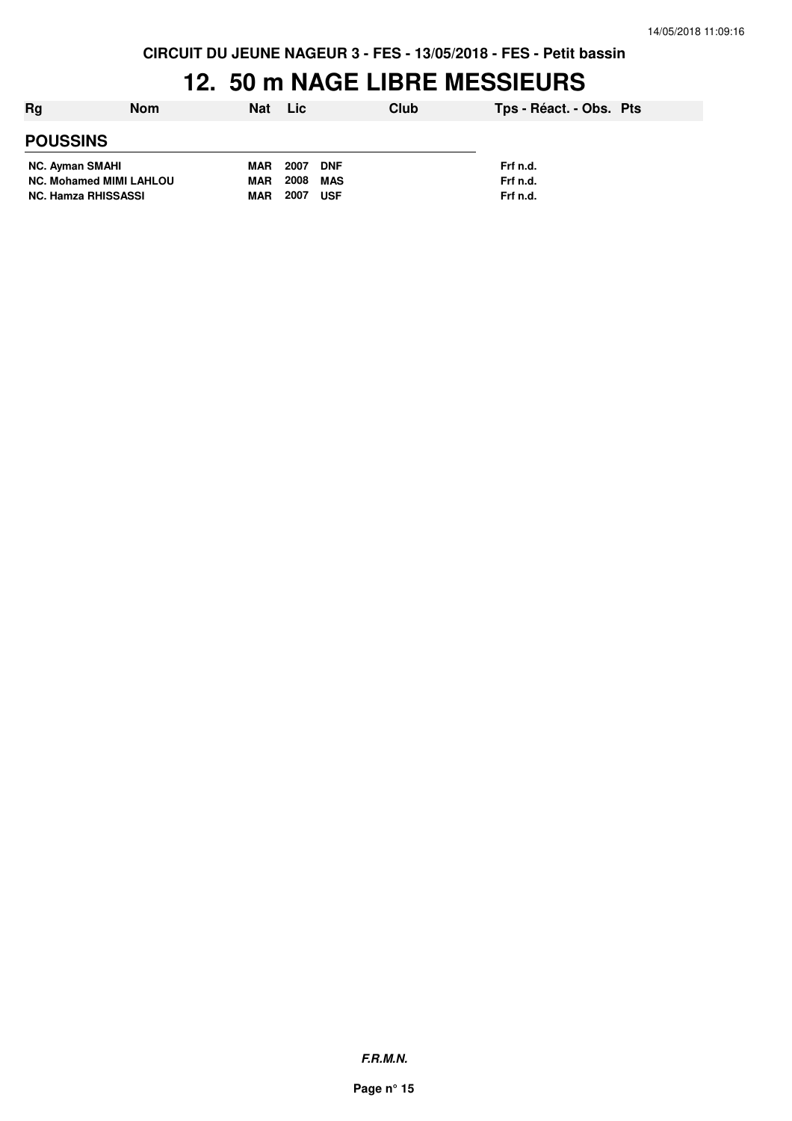**CIRCUIT DU JEUNE NAGEUR 3 - FES - 13/05/2018 - FES - Petit bassin**

# **12. 50 m NAGE LIBRE MESSIEURS**

| Rg                             | <b>Nom</b> | Nat      | Lic.       |            | Club     | Tps - Réact. - Obs. Pts |  |
|--------------------------------|------------|----------|------------|------------|----------|-------------------------|--|
| <b>POUSSINS</b>                |            |          |            |            |          |                         |  |
| <b>NC. Ayman SMAHI</b>         |            | MAR 2007 |            | <b>DNF</b> |          | Frf n.d.                |  |
| <b>NC. Mohamed MIMI LAHLOU</b> |            | MAR      | 2008       | MAS        |          | Frf n.d.                |  |
| <b>NC. Hamza RHISSASSI</b>     | MAR        | 2007     | <b>USF</b> |            | Frf n.d. |                         |  |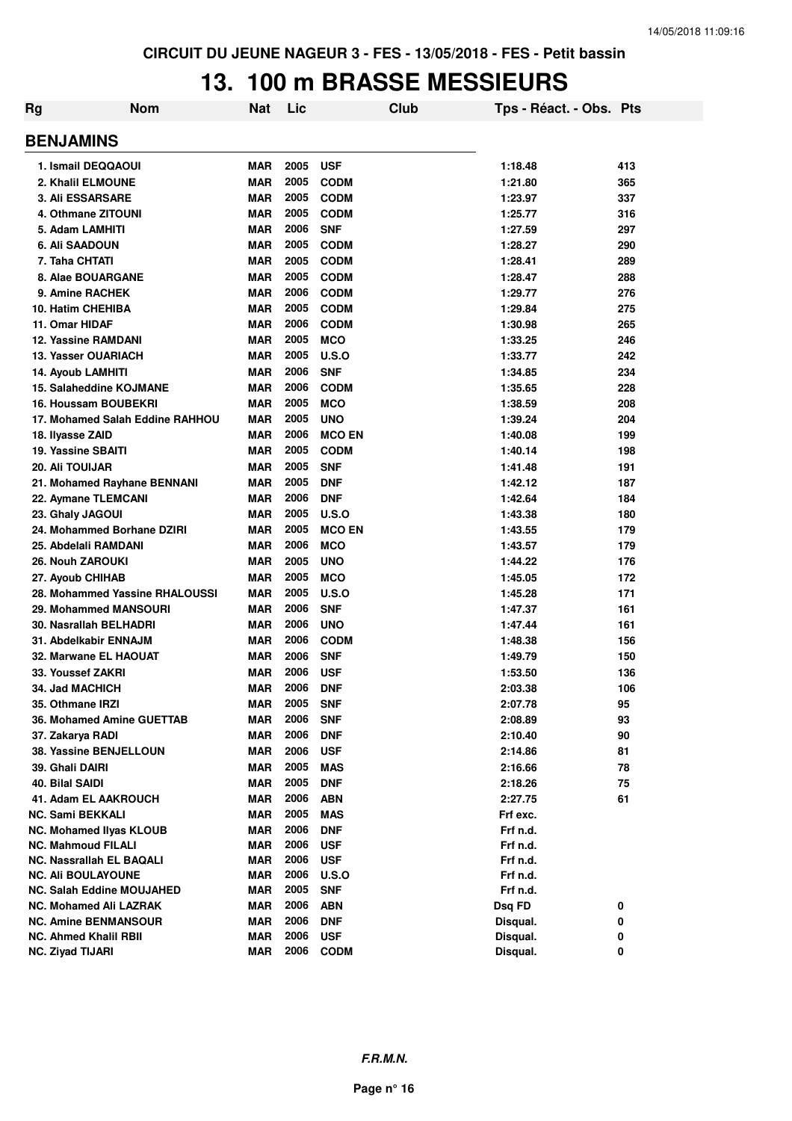### **13. 100 m BRASSE MESSIEURS**

| Rg               | <b>Nom</b>                      | <b>Nat</b> | Lic  |               | Club | Tps - Réact. - Obs. Pts |        |
|------------------|---------------------------------|------------|------|---------------|------|-------------------------|--------|
| <b>BENJAMINS</b> |                                 |            |      |               |      |                         |        |
|                  | 1. Ismail DEQQAOUI              | <b>MAR</b> | 2005 | <b>USF</b>    |      | 1:18.48                 | 413    |
|                  | 2. Khalil ELMOUNE               | <b>MAR</b> | 2005 | <b>CODM</b>   |      | 1:21.80                 | 365    |
|                  | 3. Ali ESSARSARE                | <b>MAR</b> | 2005 | <b>CODM</b>   |      | 1:23.97                 | 337    |
|                  | 4. Othmane ZITOUNI              | <b>MAR</b> | 2005 | <b>CODM</b>   |      | 1:25.77                 | 316    |
|                  | 5. Adam LAMHITI                 | <b>MAR</b> | 2006 | <b>SNF</b>    |      | 1:27.59                 | 297    |
|                  | 6. Ali SAADOUN                  | <b>MAR</b> | 2005 | <b>CODM</b>   |      | 1:28.27                 | 290    |
|                  | 7. Taha CHTATI                  | <b>MAR</b> | 2005 | <b>CODM</b>   |      | 1:28.41                 | 289    |
|                  | 8. Alae BOUARGANE               | <b>MAR</b> | 2005 | <b>CODM</b>   |      | 1:28.47                 | 288    |
|                  | 9. Amine RACHEK                 | <b>MAR</b> | 2006 | <b>CODM</b>   |      | 1:29.77                 | 276    |
|                  | 10. Hatim CHEHIBA               | <b>MAR</b> | 2005 | <b>CODM</b>   |      | 1:29.84                 | 275    |
|                  | 11. Omar HIDAF                  | <b>MAR</b> | 2006 | <b>CODM</b>   |      | 1:30.98                 | 265    |
|                  | <b>12. Yassine RAMDANI</b>      | <b>MAR</b> | 2005 | <b>MCO</b>    |      | 1:33.25                 | 246    |
|                  | 13. Yasser OUARIACH             | <b>MAR</b> | 2005 | <b>U.S.O</b>  |      | 1:33.77                 | 242    |
|                  | 14. Ayoub LAMHITI               | <b>MAR</b> | 2006 | <b>SNF</b>    |      | 1:34.85                 | 234    |
|                  | 15. Salaheddine KOJMANE         | <b>MAR</b> | 2006 | <b>CODM</b>   |      | 1:35.65                 | 228    |
|                  | 16. Houssam BOUBEKRI            | <b>MAR</b> | 2005 | <b>MCO</b>    |      | 1:38.59                 | 208    |
|                  | 17. Mohamed Salah Eddine RAHHOU | <b>MAR</b> | 2005 | <b>UNO</b>    |      | 1:39.24                 | 204    |
|                  | 18. Ilyasse ZAID                | <b>MAR</b> | 2006 | <b>MCO EN</b> |      | 1:40.08                 | 199    |
|                  | 19. Yassine SBAITI              | <b>MAR</b> | 2005 | <b>CODM</b>   |      | 1:40.14                 | 198    |
|                  | <b>20. Ali TOUIJAR</b>          | <b>MAR</b> | 2005 | <b>SNF</b>    |      | 1:41.48                 | 191    |
|                  | 21. Mohamed Rayhane BENNANI     | MAR        | 2005 | <b>DNF</b>    |      | 1:42.12                 | 187    |
|                  | 22. Aymane TLEMCANI             | <b>MAR</b> | 2006 | <b>DNF</b>    |      | 1:42.64                 | 184    |
|                  | 23. Ghaly JAGOUI                | <b>MAR</b> | 2005 | U.S.O         |      | 1:43.38                 | 180    |
|                  | 24. Mohammed Borhane DZIRI      | <b>MAR</b> | 2005 | <b>MCO EN</b> |      | 1:43.55                 | 179    |
|                  | 25. Abdelali RAMDANI            | <b>MAR</b> | 2006 | <b>MCO</b>    |      | 1:43.57                 | 179    |
|                  | <b>26. Nouh ZAROUKI</b>         | <b>MAR</b> | 2005 | <b>UNO</b>    |      | 1:44.22                 | 176    |
|                  | 27. Ayoub CHIHAB                | <b>MAR</b> | 2005 | <b>MCO</b>    |      | 1:45.05                 | 172    |
|                  | 28. Mohammed Yassine RHALOUSSI  | <b>MAR</b> | 2005 | U.S.O         |      | 1:45.28                 | 171    |
|                  | 29. Mohammed MANSOURI           | <b>MAR</b> | 2006 | <b>SNF</b>    |      | 1:47.37                 | 161    |
|                  | 30. Nasrallah BELHADRI          | <b>MAR</b> | 2006 | <b>UNO</b>    |      | 1:47.44                 | 161    |
|                  | 31. Abdelkabir ENNAJM           | <b>MAR</b> | 2006 | <b>CODM</b>   |      | 1:48.38                 | 156    |
|                  | 32. Marwane EL HAOUAT           | <b>MAR</b> | 2006 | <b>SNF</b>    |      | 1:49.79                 | 150    |
|                  | 33. Youssef ZAKRI               | <b>MAR</b> | 2006 | <b>USF</b>    |      | 1:53.50                 | 136    |
|                  | <b>34. Jad MACHICH</b>          | MAR        | 2006 | <b>DNF</b>    |      | 2:03.38                 | 106    |
|                  | 35. Othmane IRZI                | MAR        | 2005 | <b>SNF</b>    |      | 2:07.78                 | 95     |
|                  | 36. Mohamed Amine GUETTAB       | <b>MAR</b> | 2006 | <b>SNF</b>    |      | 2:08.89                 | 93     |
|                  | 37. Zakarya RADI                | <b>MAR</b> | 2006 | <b>DNF</b>    |      | 2:10.40                 | $90\,$ |
|                  | 38. Yassine BENJELLOUN          | <b>MAR</b> | 2006 | <b>USF</b>    |      | 2:14.86                 | 81     |
|                  | 39. Ghali DAIRI                 | <b>MAR</b> | 2005 | <b>MAS</b>    |      | 2:16.66                 | 78     |
|                  | 40. Bilal SAIDI                 | <b>MAR</b> | 2005 | <b>DNF</b>    |      | 2:18.26                 | 75     |
|                  | <b>41. Adam EL AAKROUCH</b>     | <b>MAR</b> | 2006 | <b>ABN</b>    |      | 2:27.75                 | 61     |
|                  | <b>NC. Sami BEKKALI</b>         | MAR        | 2005 | <b>MAS</b>    |      | Frf exc.                |        |
|                  | <b>NC. Mohamed Ilyas KLOUB</b>  | MAR        | 2006 | <b>DNF</b>    |      | Frf n.d.                |        |
|                  | <b>NC. Mahmoud FILALI</b>       | MAR        | 2006 | <b>USF</b>    |      | Frf n.d.                |        |
|                  | <b>NC. Nassrallah EL BAQALI</b> | MAR        | 2006 | <b>USF</b>    |      | Frf n.d.                |        |
|                  | <b>NC. Ali BOULAYOUNE</b>       | MAR        | 2006 | <b>U.S.O</b>  |      | Frf n.d.                |        |
|                  | NC. Salah Eddine MOUJAHED       | MAR        | 2005 | <b>SNF</b>    |      | Frf n.d.                |        |
|                  | <b>NC. Mohamed Ali LAZRAK</b>   | <b>MAR</b> | 2006 | <b>ABN</b>    |      | Dsq FD                  | 0      |
|                  | <b>NC. Amine BENMANSOUR</b>     | MAR        | 2006 | <b>DNF</b>    |      | Disqual.                | 0      |
|                  | <b>NC. Ahmed Khalil RBII</b>    | <b>MAR</b> | 2006 | <b>USF</b>    |      | Disqual.                | 0      |
|                  | <b>NC. Ziyad TIJARI</b>         | <b>MAR</b> | 2006 | <b>CODM</b>   |      | Disqual.                | 0      |